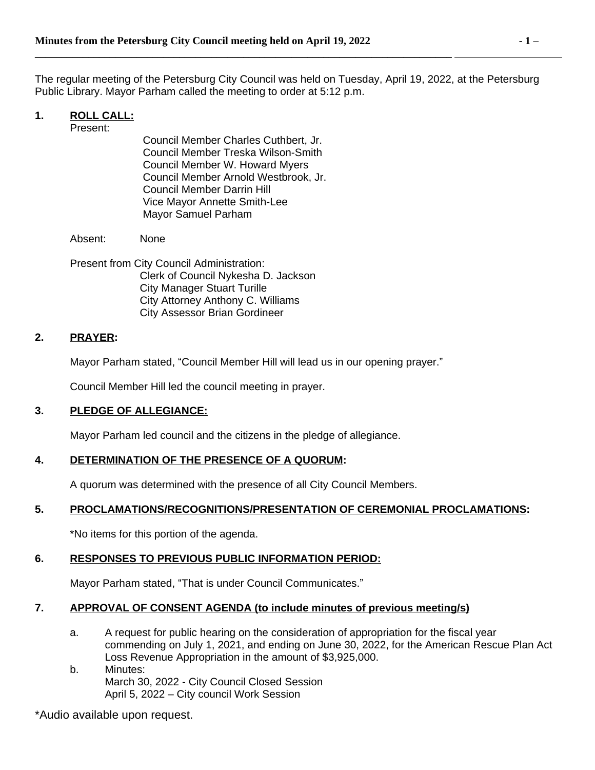The regular meeting of the Petersburg City Council was held on Tuesday, April 19, 2022, at the Petersburg Public Library. Mayor Parham called the meeting to order at 5:12 p.m.

# **1. ROLL CALL:**

Present:

Council Member Charles Cuthbert, Jr. Council Member Treska Wilson-Smith Council Member W. Howard Myers Council Member Arnold Westbrook, Jr. Council Member Darrin Hill Vice Mayor Annette Smith-Lee Mayor Samuel Parham

**\_\_\_\_\_\_\_\_\_\_\_\_\_\_\_\_\_\_\_\_\_\_\_\_\_\_\_\_\_\_\_\_\_\_\_\_\_\_\_\_\_\_\_\_\_\_\_\_\_\_\_\_\_\_\_\_\_\_\_\_\_\_\_\_\_\_\_\_\_\_\_\_\_\_\_\_\_\_** 

Absent: None

Present from City Council Administration: Clerk of Council Nykesha D. Jackson City Manager Stuart Turille City Attorney Anthony C. Williams City Assessor Brian Gordineer

# **2. PRAYER:**

Mayor Parham stated, "Council Member Hill will lead us in our opening prayer."

Council Member Hill led the council meeting in prayer.

# **3. PLEDGE OF ALLEGIANCE:**

Mayor Parham led council and the citizens in the pledge of allegiance.

# **4. DETERMINATION OF THE PRESENCE OF A QUORUM:**

A quorum was determined with the presence of all City Council Members.

# **5. PROCLAMATIONS/RECOGNITIONS/PRESENTATION OF CEREMONIAL PROCLAMATIONS:**

\*No items for this portion of the agenda.

# **6. RESPONSES TO PREVIOUS PUBLIC INFORMATION PERIOD:**

Mayor Parham stated, "That is under Council Communicates."

# **7. APPROVAL OF CONSENT AGENDA (to include minutes of previous meeting/s)**

- a. A request for public hearing on the consideration of appropriation for the fiscal year commending on July 1, 2021, and ending on June 30, 2022, for the American Rescue Plan Act Loss Revenue Appropriation in the amount of \$3,925,000.
- b. Minutes: March 30, 2022 - City Council Closed Session April 5, 2022 – City council Work Session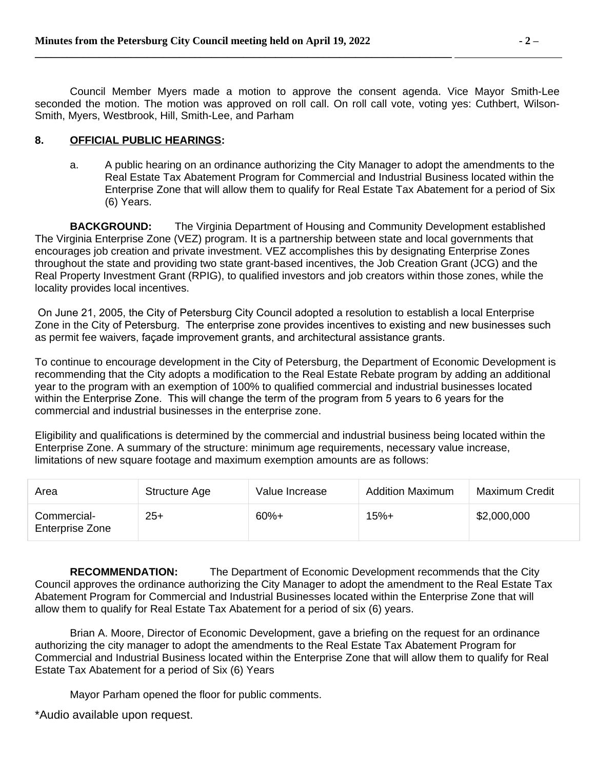Council Member Myers made a motion to approve the consent agenda. Vice Mayor Smith-Lee seconded the motion. The motion was approved on roll call. On roll call vote, voting yes: Cuthbert, Wilson-Smith, Myers, Westbrook, Hill, Smith-Lee, and Parham

### **8. OFFICIAL PUBLIC HEARINGS:**

a. A public hearing on an ordinance authorizing the City Manager to adopt the amendments to the Real Estate Tax Abatement Program for Commercial and Industrial Business located within the Enterprise Zone that will allow them to qualify for Real Estate Tax Abatement for a period of Six (6) Years.

**BACKGROUND:** The Virginia Department of Housing and Community Development established The Virginia Enterprise Zone (VEZ) program. It is a partnership between state and local governments that encourages job creation and private investment. VEZ accomplishes this by designating Enterprise Zones throughout the state and providing two state grant-based incentives, the Job Creation Grant (JCG) and the Real Property Investment Grant (RPIG), to qualified investors and job creators within those zones, while the locality provides local incentives.

 On June 21, 2005, the City of Petersburg City Council adopted a resolution to establish a local Enterprise Zone in the City of Petersburg. The enterprise zone provides incentives to existing and new businesses such as permit fee waivers, façade improvement grants, and architectural assistance grants.

To continue to encourage development in the City of Petersburg, the Department of Economic Development is recommending that the City adopts a modification to the Real Estate Rebate program by adding an additional year to the program with an exemption of 100% to qualified commercial and industrial businesses located within the Enterprise Zone. This will change the term of the program from 5 years to 6 years for the commercial and industrial businesses in the enterprise zone.

Eligibility and qualifications is determined by the commercial and industrial business being located within the Enterprise Zone. A summary of the structure: minimum age requirements, necessary value increase, limitations of new square footage and maximum exemption amounts are as follows:

| Area                                  | Structure Age | Value Increase | <b>Addition Maximum</b> | Maximum Credit |
|---------------------------------------|---------------|----------------|-------------------------|----------------|
| Commercial-<br><b>Enterprise Zone</b> | $25+$         | $60%+$         | 15%+                    | \$2,000,000    |

**RECOMMENDATION:** The Department of Economic Development recommends that the City Council approves the ordinance authorizing the City Manager to adopt the amendment to the Real Estate Tax Abatement Program for Commercial and Industrial Businesses located within the Enterprise Zone that will allow them to qualify for Real Estate Tax Abatement for a period of six (6) years.

Brian A. Moore, Director of Economic Development, gave a briefing on the request for an ordinance authorizing the city manager to adopt the amendments to the Real Estate Tax Abatement Program for Commercial and Industrial Business located within the Enterprise Zone that will allow them to qualify for Real Estate Tax Abatement for a period of Six (6) Years

Mayor Parham opened the floor for public comments.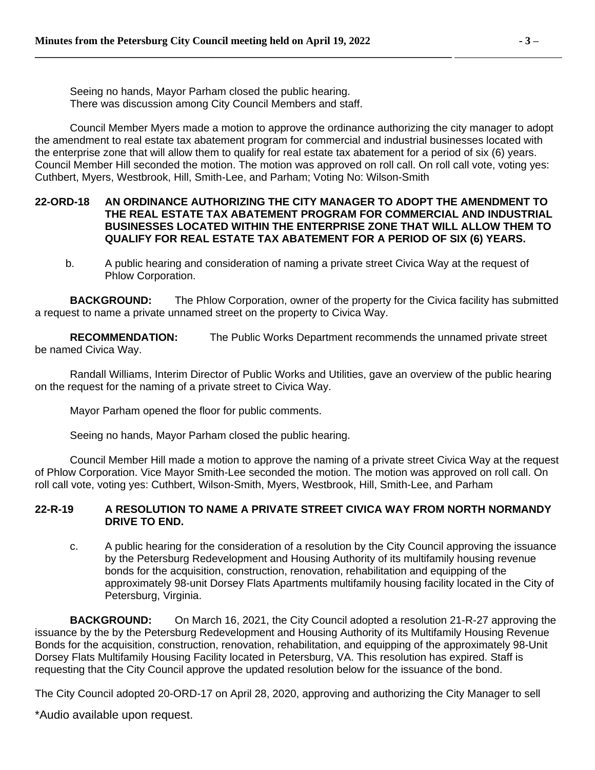Seeing no hands, Mayor Parham closed the public hearing. There was discussion among City Council Members and staff.

**\_\_\_\_\_\_\_\_\_\_\_\_\_\_\_\_\_\_\_\_\_\_\_\_\_\_\_\_\_\_\_\_\_\_\_\_\_\_\_\_\_\_\_\_\_\_\_\_\_\_\_\_\_\_\_\_\_\_\_\_\_\_\_\_\_\_\_\_\_\_\_\_\_\_\_\_\_\_** 

Council Member Myers made a motion to approve the ordinance authorizing the city manager to adopt the amendment to real estate tax abatement program for commercial and industrial businesses located with the enterprise zone that will allow them to qualify for real estate tax abatement for a period of six (6) years. Council Member Hill seconded the motion. The motion was approved on roll call. On roll call vote, voting yes: Cuthbert, Myers, Westbrook, Hill, Smith-Lee, and Parham; Voting No: Wilson-Smith

#### **22-ORD-18 AN ORDINANCE AUTHORIZING THE CITY MANAGER TO ADOPT THE AMENDMENT TO THE REAL ESTATE TAX ABATEMENT PROGRAM FOR COMMERCIAL AND INDUSTRIAL BUSINESSES LOCATED WITHIN THE ENTERPRISE ZONE THAT WILL ALLOW THEM TO QUALIFY FOR REAL ESTATE TAX ABATEMENT FOR A PERIOD OF SIX (6) YEARS.**

b. A public hearing and consideration of naming a private street Civica Way at the request of Phlow Corporation.

**BACKGROUND:** The Phlow Corporation, owner of the property for the Civica facility has submitted a request to name a private unnamed street on the property to Civica Way.

**RECOMMENDATION:** The Public Works Department recommends the unnamed private street be named Civica Way.

Randall Williams, Interim Director of Public Works and Utilities, gave an overview of the public hearing on the request for the naming of a private street to Civica Way.

Mayor Parham opened the floor for public comments.

Seeing no hands, Mayor Parham closed the public hearing.

Council Member Hill made a motion to approve the naming of a private street Civica Way at the request of Phlow Corporation. Vice Mayor Smith-Lee seconded the motion. The motion was approved on roll call. On roll call vote, voting yes: Cuthbert, Wilson-Smith, Myers, Westbrook, Hill, Smith-Lee, and Parham

# **22-R-19 A RESOLUTION TO NAME A PRIVATE STREET CIVICA WAY FROM NORTH NORMANDY DRIVE TO END.**

c. A public hearing for the consideration of a resolution by the City Council approving the issuance by the Petersburg Redevelopment and Housing Authority of its multifamily housing revenue bonds for the acquisition, construction, renovation, rehabilitation and equipping of the approximately 98-unit Dorsey Flats Apartments multifamily housing facility located in the City of Petersburg, Virginia.

**BACKGROUND:** On March 16, 2021, the City Council adopted a resolution 21-R-27 approving the issuance by the by the Petersburg Redevelopment and Housing Authority of its Multifamily Housing Revenue Bonds for the acquisition, construction, renovation, rehabilitation, and equipping of the approximately 98-Unit Dorsey Flats Multifamily Housing Facility located in Petersburg, VA. This resolution has expired. Staff is requesting that the City Council approve the updated resolution below for the issuance of the bond.

The City Council adopted 20-ORD-17 on April 28, 2020, approving and authorizing the City Manager to sell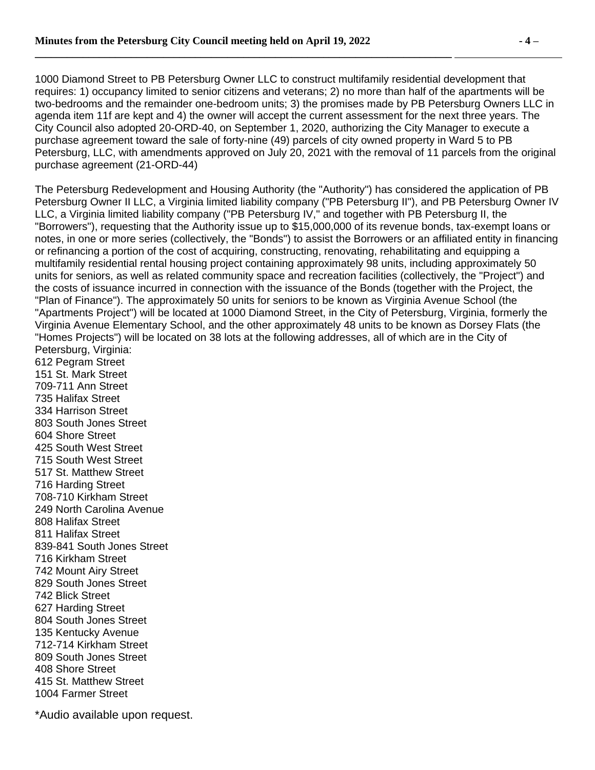1000 Diamond Street to PB Petersburg Owner LLC to construct multifamily residential development that requires: 1) occupancy limited to senior citizens and veterans; 2) no more than half of the apartments will be two-bedrooms and the remainder one-bedroom units; 3) the promises made by PB Petersburg Owners LLC in agenda item 11f are kept and 4) the owner will accept the current assessment for the next three years. The City Council also adopted 20-ORD-40, on September 1, 2020, authorizing the City Manager to execute a purchase agreement toward the sale of forty-nine (49) parcels of city owned property in Ward 5 to PB Petersburg, LLC, with amendments approved on July 20, 2021 with the removal of 11 parcels from the original purchase agreement (21-ORD-44)

The Petersburg Redevelopment and Housing Authority (the "Authority") has considered the application of PB Petersburg Owner II LLC, a Virginia limited liability company ("PB Petersburg II"), and PB Petersburg Owner IV LLC, a Virginia limited liability company ("PB Petersburg IV," and together with PB Petersburg II, the "Borrowers"), requesting that the Authority issue up to \$15,000,000 of its revenue bonds, tax-exempt loans or notes, in one or more series (collectively, the "Bonds") to assist the Borrowers or an affiliated entity in financing or refinancing a portion of the cost of acquiring, constructing, renovating, rehabilitating and equipping a multifamily residential rental housing project containing approximately 98 units, including approximately 50 units for seniors, as well as related community space and recreation facilities (collectively, the "Project") and the costs of issuance incurred in connection with the issuance of the Bonds (together with the Project, the "Plan of Finance"). The approximately 50 units for seniors to be known as Virginia Avenue School (the "Apartments Project") will be located at 1000 Diamond Street, in the City of Petersburg, Virginia, formerly the Virginia Avenue Elementary School, and the other approximately 48 units to be known as Dorsey Flats (the "Homes Projects") will be located on 38 lots at the following addresses, all of which are in the City of Petersburg, Virginia:

612 Pegram Street 151 St. Mark Street 709-711 Ann Street 735 Halifax Street 334 Harrison Street 803 South Jones Street 604 Shore Street 425 South West Street 715 South West Street 517 St. Matthew Street 716 Harding Street 708-710 Kirkham Street 249 North Carolina Avenue 808 Halifax Street 811 Halifax Street 839-841 South Jones Street 716 Kirkham Street 742 Mount Airy Street 829 South Jones Street 742 Blick Street 627 Harding Street 804 South Jones Street 135 Kentucky Avenue 712-714 Kirkham Street 809 South Jones Street 408 Shore Street 415 St. Matthew Street 1004 Farmer Street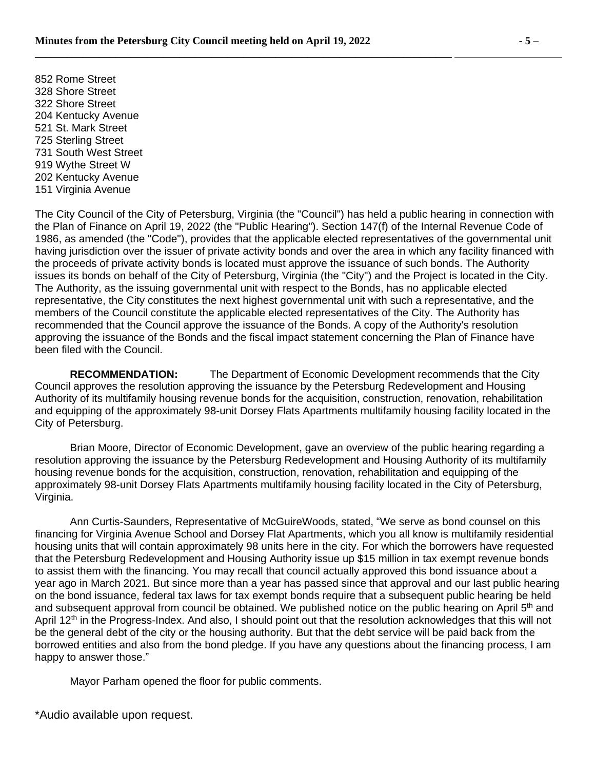852 Rome Street 328 Shore Street 322 Shore Street 204 Kentucky Avenue 521 St. Mark Street 725 Sterling Street 731 South West Street 919 Wythe Street W 202 Kentucky Avenue 151 Virginia Avenue

The City Council of the City of Petersburg, Virginia (the "Council") has held a public hearing in connection with the Plan of Finance on April 19, 2022 (the "Public Hearing"). Section 147(f) of the Internal Revenue Code of 1986, as amended (the "Code"), provides that the applicable elected representatives of the governmental unit having jurisdiction over the issuer of private activity bonds and over the area in which any facility financed with the proceeds of private activity bonds is located must approve the issuance of such bonds. The Authority issues its bonds on behalf of the City of Petersburg, Virginia (the "City") and the Project is located in the City. The Authority, as the issuing governmental unit with respect to the Bonds, has no applicable elected representative, the City constitutes the next highest governmental unit with such a representative, and the members of the Council constitute the applicable elected representatives of the City. The Authority has recommended that the Council approve the issuance of the Bonds. A copy of the Authority's resolution approving the issuance of the Bonds and the fiscal impact statement concerning the Plan of Finance have been filed with the Council.

**RECOMMENDATION:** The Department of Economic Development recommends that the City Council approves the resolution approving the issuance by the Petersburg Redevelopment and Housing Authority of its multifamily housing revenue bonds for the acquisition, construction, renovation, rehabilitation and equipping of the approximately 98-unit Dorsey Flats Apartments multifamily housing facility located in the City of Petersburg.

Brian Moore, Director of Economic Development, gave an overview of the public hearing regarding a resolution approving the issuance by the Petersburg Redevelopment and Housing Authority of its multifamily housing revenue bonds for the acquisition, construction, renovation, rehabilitation and equipping of the approximately 98-unit Dorsey Flats Apartments multifamily housing facility located in the City of Petersburg, Virginia.

Ann Curtis-Saunders, Representative of McGuireWoods, stated, "We serve as bond counsel on this financing for Virginia Avenue School and Dorsey Flat Apartments, which you all know is multifamily residential housing units that will contain approximately 98 units here in the city. For which the borrowers have requested that the Petersburg Redevelopment and Housing Authority issue up \$15 million in tax exempt revenue bonds to assist them with the financing. You may recall that council actually approved this bond issuance about a year ago in March 2021. But since more than a year has passed since that approval and our last public hearing on the bond issuance, federal tax laws for tax exempt bonds require that a subsequent public hearing be held and subsequent approval from council be obtained. We published notice on the public hearing on April 5<sup>th</sup> and April 12<sup>th</sup> in the Progress-Index. And also, I should point out that the resolution acknowledges that this will not be the general debt of the city or the housing authority. But that the debt service will be paid back from the borrowed entities and also from the bond pledge. If you have any questions about the financing process, I am happy to answer those."

Mayor Parham opened the floor for public comments.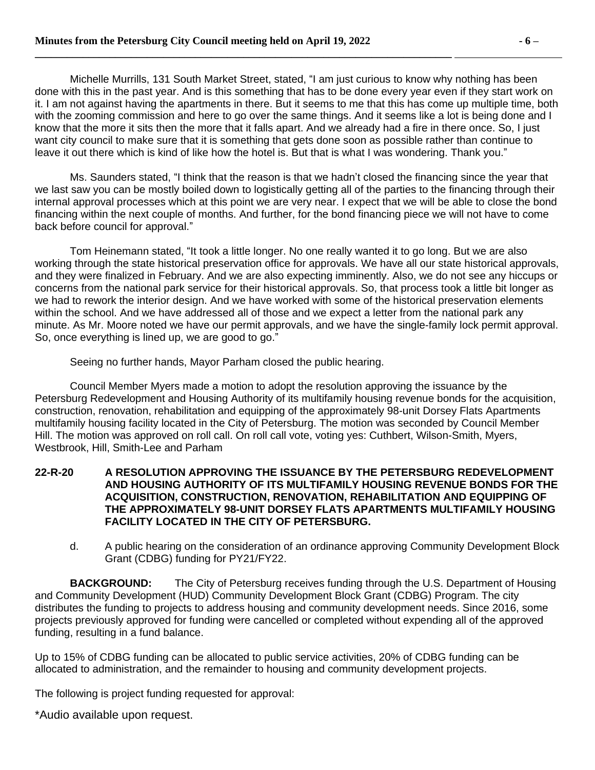Michelle Murrills, 131 South Market Street, stated, "I am just curious to know why nothing has been done with this in the past year. And is this something that has to be done every year even if they start work on it. I am not against having the apartments in there. But it seems to me that this has come up multiple time, both with the zooming commission and here to go over the same things. And it seems like a lot is being done and I know that the more it sits then the more that it falls apart. And we already had a fire in there once. So, I just want city council to make sure that it is something that gets done soon as possible rather than continue to leave it out there which is kind of like how the hotel is. But that is what I was wondering. Thank you."

Ms. Saunders stated, "I think that the reason is that we hadn't closed the financing since the year that we last saw you can be mostly boiled down to logistically getting all of the parties to the financing through their internal approval processes which at this point we are very near. I expect that we will be able to close the bond financing within the next couple of months. And further, for the bond financing piece we will not have to come back before council for approval."

Tom Heinemann stated, "It took a little longer. No one really wanted it to go long. But we are also working through the state historical preservation office for approvals. We have all our state historical approvals, and they were finalized in February. And we are also expecting imminently. Also, we do not see any hiccups or concerns from the national park service for their historical approvals. So, that process took a little bit longer as we had to rework the interior design. And we have worked with some of the historical preservation elements within the school. And we have addressed all of those and we expect a letter from the national park any minute. As Mr. Moore noted we have our permit approvals, and we have the single-family lock permit approval. So, once everything is lined up, we are good to go."

Seeing no further hands, Mayor Parham closed the public hearing.

Council Member Myers made a motion to adopt the resolution approving the issuance by the Petersburg Redevelopment and Housing Authority of its multifamily housing revenue bonds for the acquisition, construction, renovation, rehabilitation and equipping of the approximately 98-unit Dorsey Flats Apartments multifamily housing facility located in the City of Petersburg. The motion was seconded by Council Member Hill. The motion was approved on roll call. On roll call vote, voting yes: Cuthbert, Wilson-Smith, Myers, Westbrook, Hill, Smith-Lee and Parham

#### **22-R-20 A RESOLUTION APPROVING THE ISSUANCE BY THE PETERSBURG REDEVELOPMENT AND HOUSING AUTHORITY OF ITS MULTIFAMILY HOUSING REVENUE BONDS FOR THE ACQUISITION, CONSTRUCTION, RENOVATION, REHABILITATION AND EQUIPPING OF THE APPROXIMATELY 98-UNIT DORSEY FLATS APARTMENTS MULTIFAMILY HOUSING FACILITY LOCATED IN THE CITY OF PETERSBURG.**

d. A public hearing on the consideration of an ordinance approving Community Development Block Grant (CDBG) funding for PY21/FY22.

**BACKGROUND:** The City of Petersburg receives funding through the U.S. Department of Housing and Community Development (HUD) Community Development Block Grant (CDBG) Program. The city distributes the funding to projects to address housing and community development needs. Since 2016, some projects previously approved for funding were cancelled or completed without expending all of the approved funding, resulting in a fund balance.

Up to 15% of CDBG funding can be allocated to public service activities, 20% of CDBG funding can be allocated to administration, and the remainder to housing and community development projects.

The following is project funding requested for approval: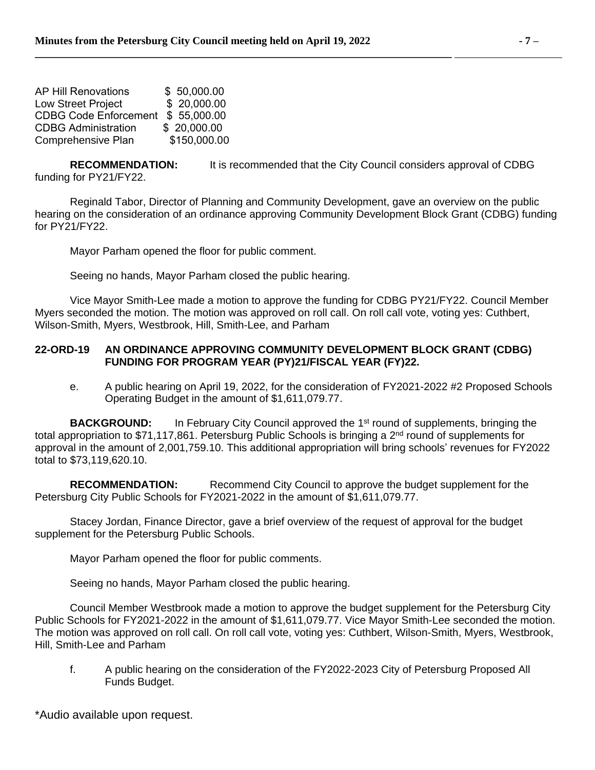| <b>AP Hill Renovations</b>   | \$50,000.00  |
|------------------------------|--------------|
| Low Street Project           | \$ 20,000.00 |
| <b>CDBG Code Enforcement</b> | \$55,000.00  |
| <b>CDBG Administration</b>   | \$ 20,000.00 |
| Comprehensive Plan           | \$150,000.00 |

**RECOMMENDATION:** It is recommended that the City Council considers approval of CDBG funding for PY21/FY22.

Reginald Tabor, Director of Planning and Community Development, gave an overview on the public hearing on the consideration of an ordinance approving Community Development Block Grant (CDBG) funding for PY21/FY22.

Mayor Parham opened the floor for public comment.

Seeing no hands, Mayor Parham closed the public hearing.

Vice Mayor Smith-Lee made a motion to approve the funding for CDBG PY21/FY22. Council Member Myers seconded the motion. The motion was approved on roll call. On roll call vote, voting yes: Cuthbert, Wilson-Smith, Myers, Westbrook, Hill, Smith-Lee, and Parham

### **22-ORD-19 AN ORDINANCE APPROVING COMMUNITY DEVELOPMENT BLOCK GRANT (CDBG) FUNDING FOR PROGRAM YEAR (PY)21/FISCAL YEAR (FY)22.**

e. A public hearing on April 19, 2022, for the consideration of FY2021-2022 #2 Proposed Schools Operating Budget in the amount of \$1,611,079.77.

**BACKGROUND:** In February City Council approved the 1<sup>st</sup> round of supplements, bringing the total appropriation to \$71,117,861. Petersburg Public Schools is bringing a 2<sup>nd</sup> round of supplements for approval in the amount of 2,001,759.10. This additional appropriation will bring schools' revenues for FY2022 total to \$73,119,620.10.

**RECOMMENDATION:** Recommend City Council to approve the budget supplement for the Petersburg City Public Schools for FY2021-2022 in the amount of \$1,611,079.77.

Stacey Jordan, Finance Director, gave a brief overview of the request of approval for the budget supplement for the Petersburg Public Schools.

Mayor Parham opened the floor for public comments.

Seeing no hands, Mayor Parham closed the public hearing.

Council Member Westbrook made a motion to approve the budget supplement for the Petersburg City Public Schools for FY2021-2022 in the amount of \$1,611,079.77. Vice Mayor Smith-Lee seconded the motion. The motion was approved on roll call. On roll call vote, voting yes: Cuthbert, Wilson-Smith, Myers, Westbrook, Hill, Smith-Lee and Parham

f. A public hearing on the consideration of the FY2022-2023 City of Petersburg Proposed All Funds Budget.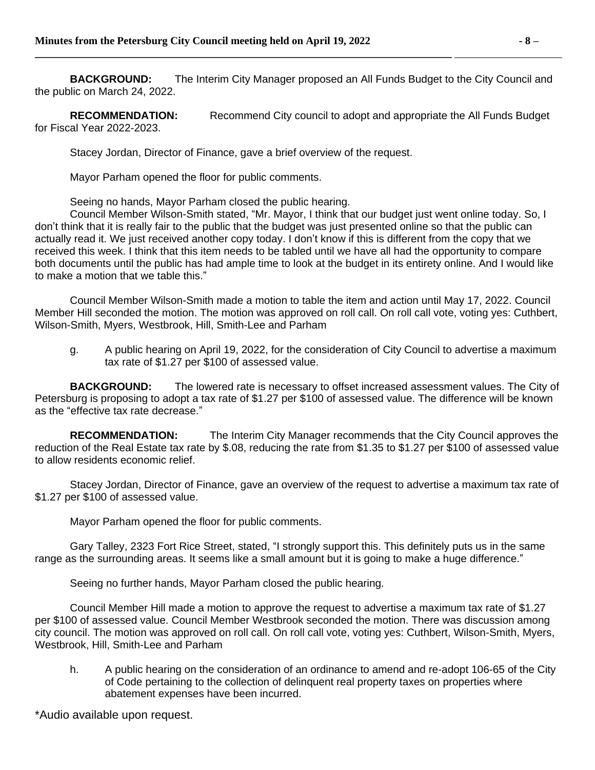**BACKGROUND:** The Interim City Manager proposed an All Funds Budget to the City Council and the public on March 24, 2022.

**RECOMMENDATION:** Recommend City council to adopt and appropriate the All Funds Budget for Fiscal Year 2022-2023.

Stacey Jordan, Director of Finance, gave a brief overview of the request.

**\_\_\_\_\_\_\_\_\_\_\_\_\_\_\_\_\_\_\_\_\_\_\_\_\_\_\_\_\_\_\_\_\_\_\_\_\_\_\_\_\_\_\_\_\_\_\_\_\_\_\_\_\_\_\_\_\_\_\_\_\_\_\_\_\_\_\_\_\_\_\_\_\_\_\_\_\_\_** 

Mayor Parham opened the floor for public comments.

Seeing no hands, Mayor Parham closed the public hearing.

Council Member Wilson-Smith stated, "Mr. Mayor, I think that our budget just went online today. So, I don't think that it is really fair to the public that the budget was just presented online so that the public can actually read it. We just received another copy today. I don't know if this is different from the copy that we received this week. I think that this item needs to be tabled until we have all had the opportunity to compare both documents until the public has had ample time to look at the budget in its entirety online. And I would like to make a motion that we table this."

Council Member Wilson-Smith made a motion to table the item and action until May 17, 2022. Council Member Hill seconded the motion. The motion was approved on roll call. On roll call vote, voting yes: Cuthbert, Wilson-Smith, Myers, Westbrook, Hill, Smith-Lee and Parham

g. A public hearing on April 19, 2022, for the consideration of City Council to advertise a maximum tax rate of \$1.27 per \$100 of assessed value.

**BACKGROUND:** The lowered rate is necessary to offset increased assessment values. The City of Petersburg is proposing to adopt a tax rate of \$1.27 per \$100 of assessed value. The difference will be known as the "effective tax rate decrease."

**RECOMMENDATION:** The Interim City Manager recommends that the City Council approves the reduction of the Real Estate tax rate by \$.08, reducing the rate from \$1.35 to \$1.27 per \$100 of assessed value to allow residents economic relief.

Stacey Jordan, Director of Finance, gave an overview of the request to advertise a maximum tax rate of \$1.27 per \$100 of assessed value.

Mayor Parham opened the floor for public comments.

Gary Talley, 2323 Fort Rice Street, stated, "I strongly support this. This definitely puts us in the same range as the surrounding areas. It seems like a small amount but it is going to make a huge difference."

Seeing no further hands, Mayor Parham closed the public hearing.

Council Member Hill made a motion to approve the request to advertise a maximum tax rate of \$1.27 per \$100 of assessed value. Council Member Westbrook seconded the motion. There was discussion among city council. The motion was approved on roll call. On roll call vote, voting yes: Cuthbert, Wilson-Smith, Myers, Westbrook, Hill, Smith-Lee and Parham

h. A public hearing on the consideration of an ordinance to amend and re-adopt 106-65 of the City of Code pertaining to the collection of delinquent real property taxes on properties where abatement expenses have been incurred.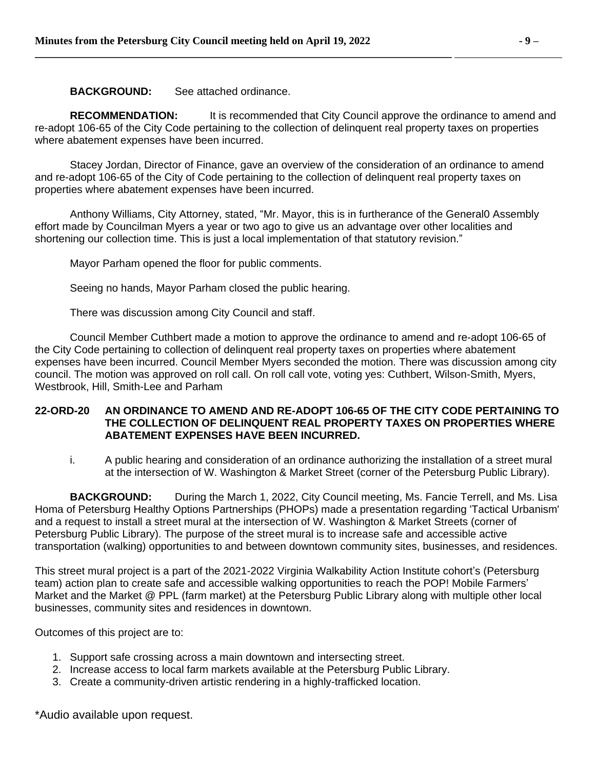**BACKGROUND:** See attached ordinance.

**RECOMMENDATION:** It is recommended that City Council approve the ordinance to amend and re-adopt 106-65 of the City Code pertaining to the collection of delinquent real property taxes on properties where abatement expenses have been incurred.

Stacey Jordan, Director of Finance, gave an overview of the consideration of an ordinance to amend and re-adopt 106-65 of the City of Code pertaining to the collection of delinquent real property taxes on properties where abatement expenses have been incurred.

Anthony Williams, City Attorney, stated, "Mr. Mayor, this is in furtherance of the General0 Assembly effort made by Councilman Myers a year or two ago to give us an advantage over other localities and shortening our collection time. This is just a local implementation of that statutory revision."

Mayor Parham opened the floor for public comments.

Seeing no hands, Mayor Parham closed the public hearing.

There was discussion among City Council and staff.

Council Member Cuthbert made a motion to approve the ordinance to amend and re-adopt 106-65 of the City Code pertaining to collection of delinquent real property taxes on properties where abatement expenses have been incurred. Council Member Myers seconded the motion. There was discussion among city council. The motion was approved on roll call. On roll call vote, voting yes: Cuthbert, Wilson-Smith, Myers, Westbrook, Hill, Smith-Lee and Parham

#### **22-ORD-20 AN ORDINANCE TO AMEND AND RE-ADOPT 106-65 OF THE CITY CODE PERTAINING TO THE COLLECTION OF DELINQUENT REAL PROPERTY TAXES ON PROPERTIES WHERE ABATEMENT EXPENSES HAVE BEEN INCURRED.**

i. A public hearing and consideration of an ordinance authorizing the installation of a street mural at the intersection of W. Washington & Market Street (corner of the Petersburg Public Library).

**BACKGROUND:** During the March 1, 2022, City Council meeting, Ms. Fancie Terrell, and Ms. Lisa Homa of Petersburg Healthy Options Partnerships (PHOPs) made a presentation regarding 'Tactical Urbanism' and a request to install a street mural at the intersection of W. Washington & Market Streets (corner of Petersburg Public Library). The purpose of the street mural is to increase safe and accessible active transportation (walking) opportunities to and between downtown community sites, businesses, and residences.

This street mural project is a part of the 2021-2022 Virginia Walkability Action Institute cohort's (Petersburg team) action plan to create safe and accessible walking opportunities to reach the POP! Mobile Farmers' Market and the Market @ PPL (farm market) at the Petersburg Public Library along with multiple other local businesses, community sites and residences in downtown.

Outcomes of this project are to:

- 1. Support safe crossing across a main downtown and intersecting street.
- 2. Increase access to local farm markets available at the Petersburg Public Library.
- 3. Create a community-driven artistic rendering in a highly-trafficked location.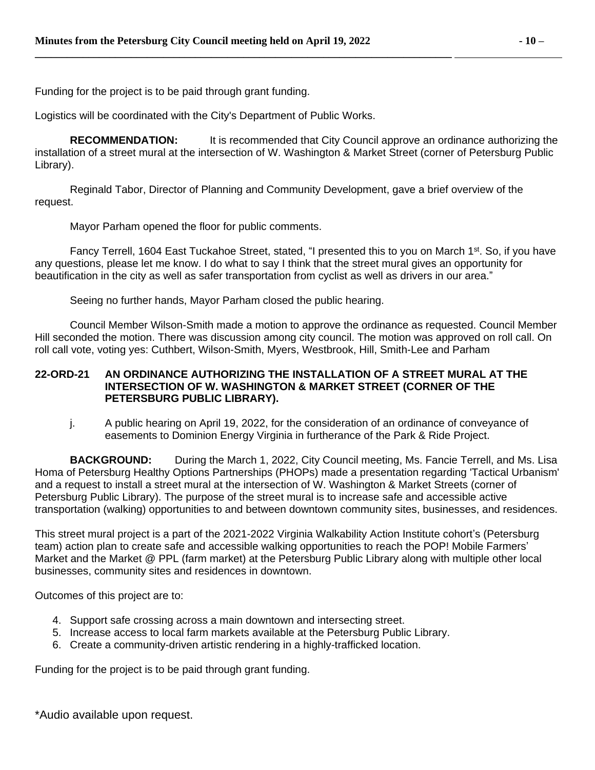Funding for the project is to be paid through grant funding.

Logistics will be coordinated with the City's Department of Public Works.

**RECOMMENDATION:** It is recommended that City Council approve an ordinance authorizing the installation of a street mural at the intersection of W. Washington & Market Street (corner of Petersburg Public Library).

Reginald Tabor, Director of Planning and Community Development, gave a brief overview of the request.

Mayor Parham opened the floor for public comments.

Fancy Terrell, 1604 East Tuckahoe Street, stated, "I presented this to you on March 1<sup>st</sup>. So, if you have any questions, please let me know. I do what to say I think that the street mural gives an opportunity for beautification in the city as well as safer transportation from cyclist as well as drivers in our area."

Seeing no further hands, Mayor Parham closed the public hearing.

Council Member Wilson-Smith made a motion to approve the ordinance as requested. Council Member Hill seconded the motion. There was discussion among city council. The motion was approved on roll call. On roll call vote, voting yes: Cuthbert, Wilson-Smith, Myers, Westbrook, Hill, Smith-Lee and Parham

# **22-ORD-21 AN ORDINANCE AUTHORIZING THE INSTALLATION OF A STREET MURAL AT THE INTERSECTION OF W. WASHINGTON & MARKET STREET (CORNER OF THE PETERSBURG PUBLIC LIBRARY).**

j. A public hearing on April 19, 2022, for the consideration of an ordinance of conveyance of easements to Dominion Energy Virginia in furtherance of the Park & Ride Project.

**BACKGROUND:** During the March 1, 2022, City Council meeting, Ms. Fancie Terrell, and Ms. Lisa Homa of Petersburg Healthy Options Partnerships (PHOPs) made a presentation regarding 'Tactical Urbanism' and a request to install a street mural at the intersection of W. Washington & Market Streets (corner of Petersburg Public Library). The purpose of the street mural is to increase safe and accessible active transportation (walking) opportunities to and between downtown community sites, businesses, and residences.

This street mural project is a part of the 2021-2022 Virginia Walkability Action Institute cohort's (Petersburg team) action plan to create safe and accessible walking opportunities to reach the POP! Mobile Farmers' Market and the Market @ PPL (farm market) at the Petersburg Public Library along with multiple other local businesses, community sites and residences in downtown.

Outcomes of this project are to:

- 4. Support safe crossing across a main downtown and intersecting street.
- 5. Increase access to local farm markets available at the Petersburg Public Library.
- 6. Create a community-driven artistic rendering in a highly-trafficked location.

Funding for the project is to be paid through grant funding.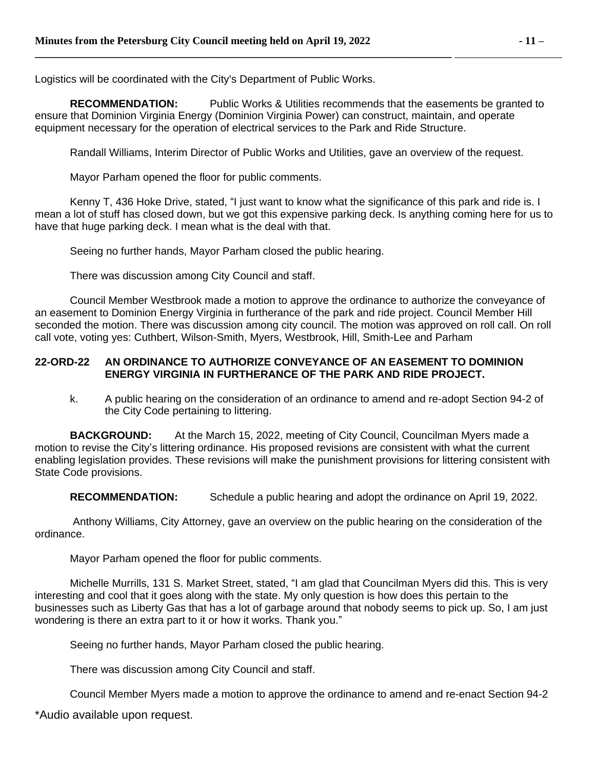Logistics will be coordinated with the City's Department of Public Works.

**\_\_\_\_\_\_\_\_\_\_\_\_\_\_\_\_\_\_\_\_\_\_\_\_\_\_\_\_\_\_\_\_\_\_\_\_\_\_\_\_\_\_\_\_\_\_\_\_\_\_\_\_\_\_\_\_\_\_\_\_\_\_\_\_\_\_\_\_\_\_\_\_\_\_\_\_\_\_** 

**RECOMMENDATION:** Public Works & Utilities recommends that the easements be granted to ensure that Dominion Virginia Energy (Dominion Virginia Power) can construct, maintain, and operate equipment necessary for the operation of electrical services to the Park and Ride Structure.

Randall Williams, Interim Director of Public Works and Utilities, gave an overview of the request.

Mayor Parham opened the floor for public comments.

Kenny T, 436 Hoke Drive, stated, "I just want to know what the significance of this park and ride is. I mean a lot of stuff has closed down, but we got this expensive parking deck. Is anything coming here for us to have that huge parking deck. I mean what is the deal with that.

Seeing no further hands, Mayor Parham closed the public hearing.

There was discussion among City Council and staff.

Council Member Westbrook made a motion to approve the ordinance to authorize the conveyance of an easement to Dominion Energy Virginia in furtherance of the park and ride project. Council Member Hill seconded the motion. There was discussion among city council. The motion was approved on roll call. On roll call vote, voting yes: Cuthbert, Wilson-Smith, Myers, Westbrook, Hill, Smith-Lee and Parham

# **22-ORD-22 AN ORDINANCE TO AUTHORIZE CONVEYANCE OF AN EASEMENT TO DOMINION ENERGY VIRGINIA IN FURTHERANCE OF THE PARK AND RIDE PROJECT.**

k. A public hearing on the consideration of an ordinance to amend and re-adopt Section 94-2 of the City Code pertaining to littering.

**BACKGROUND:** At the March 15, 2022, meeting of City Council, Councilman Myers made a motion to revise the City's littering ordinance. His proposed revisions are consistent with what the current enabling legislation provides. These revisions will make the punishment provisions for littering consistent with State Code provisions.

**RECOMMENDATION:** Schedule a public hearing and adopt the ordinance on April 19, 2022.

Anthony Williams, City Attorney, gave an overview on the public hearing on the consideration of the ordinance.

Mayor Parham opened the floor for public comments.

Michelle Murrills, 131 S. Market Street, stated, "I am glad that Councilman Myers did this. This is very interesting and cool that it goes along with the state. My only question is how does this pertain to the businesses such as Liberty Gas that has a lot of garbage around that nobody seems to pick up. So, I am just wondering is there an extra part to it or how it works. Thank you."

Seeing no further hands, Mayor Parham closed the public hearing.

There was discussion among City Council and staff.

Council Member Myers made a motion to approve the ordinance to amend and re-enact Section 94-2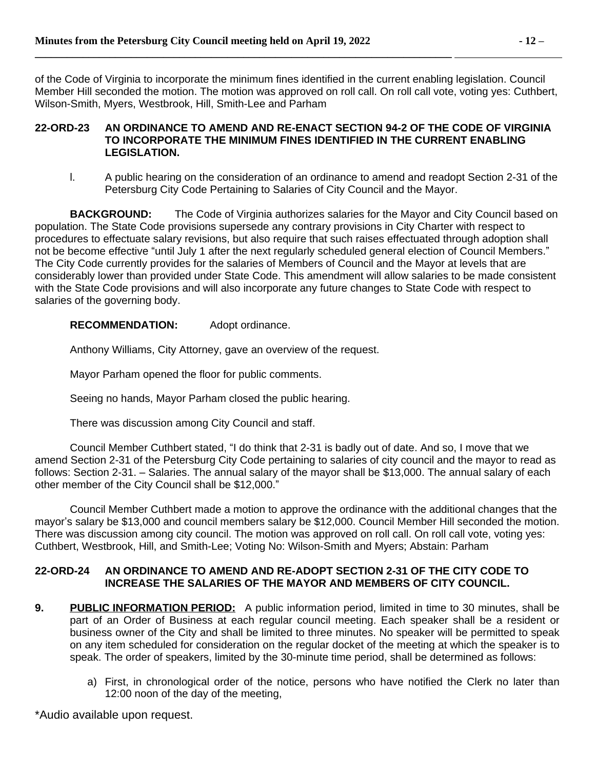of the Code of Virginia to incorporate the minimum fines identified in the current enabling legislation. Council Member Hill seconded the motion. The motion was approved on roll call. On roll call vote, voting yes: Cuthbert, Wilson-Smith, Myers, Westbrook, Hill, Smith-Lee and Parham

#### **22-ORD-23 AN ORDINANCE TO AMEND AND RE-ENACT SECTION 94-2 OF THE CODE OF VIRGINIA TO INCORPORATE THE MINIMUM FINES IDENTIFIED IN THE CURRENT ENABLING LEGISLATION.**

l. A public hearing on the consideration of an ordinance to amend and readopt Section 2-31 of the Petersburg City Code Pertaining to Salaries of City Council and the Mayor.

**BACKGROUND:** The Code of Virginia authorizes salaries for the Mayor and City Council based on population. The State Code provisions supersede any contrary provisions in City Charter with respect to procedures to effectuate salary revisions, but also require that such raises effectuated through adoption shall not be become effective "until July 1 after the next regularly scheduled general election of Council Members." The City Code currently provides for the salaries of Members of Council and the Mayor at levels that are considerably lower than provided under State Code. This amendment will allow salaries to be made consistent with the State Code provisions and will also incorporate any future changes to State Code with respect to salaries of the governing body.

# **RECOMMENDATION:** Adopt ordinance.

Anthony Williams, City Attorney, gave an overview of the request.

Mayor Parham opened the floor for public comments.

Seeing no hands, Mayor Parham closed the public hearing.

There was discussion among City Council and staff.

Council Member Cuthbert stated, "I do think that 2-31 is badly out of date. And so, I move that we amend Section 2-31 of the Petersburg City Code pertaining to salaries of city council and the mayor to read as follows: Section 2-31. – Salaries. The annual salary of the mayor shall be \$13,000. The annual salary of each other member of the City Council shall be \$12,000."

Council Member Cuthbert made a motion to approve the ordinance with the additional changes that the mayor's salary be \$13,000 and council members salary be \$12,000. Council Member Hill seconded the motion. There was discussion among city council. The motion was approved on roll call. On roll call vote, voting yes: Cuthbert, Westbrook, Hill, and Smith-Lee; Voting No: Wilson-Smith and Myers; Abstain: Parham

# **22-ORD-24 AN ORDINANCE TO AMEND AND RE-ADOPT SECTION 2-31 OF THE CITY CODE TO INCREASE THE SALARIES OF THE MAYOR AND MEMBERS OF CITY COUNCIL.**

- **9. PUBLIC INFORMATION PERIOD:** A public information period, limited in time to 30 minutes, shall be part of an Order of Business at each regular council meeting. Each speaker shall be a resident or business owner of the City and shall be limited to three minutes. No speaker will be permitted to speak on any item scheduled for consideration on the regular docket of the meeting at which the speaker is to speak. The order of speakers, limited by the 30-minute time period, shall be determined as follows:
	- a) First, in chronological order of the notice, persons who have notified the Clerk no later than 12:00 noon of the day of the meeting,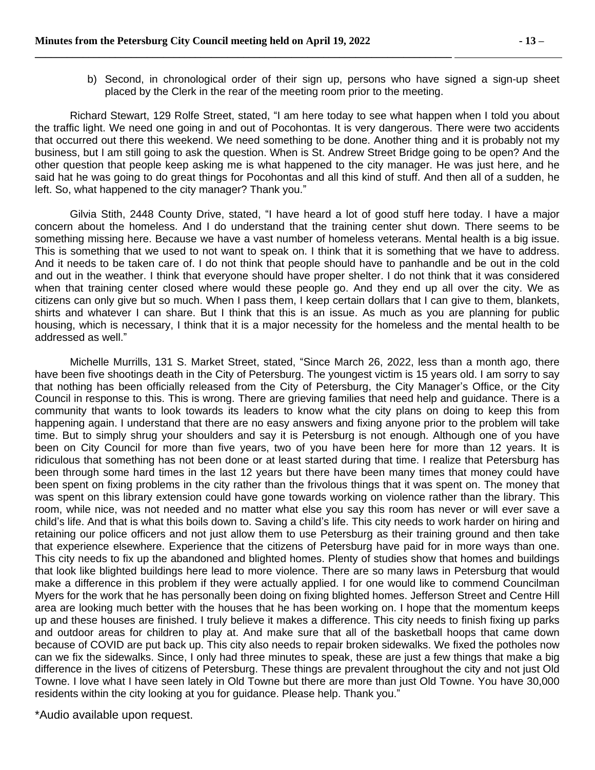b) Second, in chronological order of their sign up, persons who have signed a sign-up sheet placed by the Clerk in the rear of the meeting room prior to the meeting.

Richard Stewart, 129 Rolfe Street, stated, "I am here today to see what happen when I told you about the traffic light. We need one going in and out of Pocohontas. It is very dangerous. There were two accidents that occurred out there this weekend. We need something to be done. Another thing and it is probably not my business, but I am still going to ask the question. When is St. Andrew Street Bridge going to be open? And the other question that people keep asking me is what happened to the city manager. He was just here, and he said hat he was going to do great things for Pocohontas and all this kind of stuff. And then all of a sudden, he left. So, what happened to the city manager? Thank you."

Gilvia Stith, 2448 County Drive, stated, "I have heard a lot of good stuff here today. I have a major concern about the homeless. And I do understand that the training center shut down. There seems to be something missing here. Because we have a vast number of homeless veterans. Mental health is a big issue. This is something that we used to not want to speak on. I think that it is something that we have to address. And it needs to be taken care of. I do not think that people should have to panhandle and be out in the cold and out in the weather. I think that everyone should have proper shelter. I do not think that it was considered when that training center closed where would these people go. And they end up all over the city. We as citizens can only give but so much. When I pass them, I keep certain dollars that I can give to them, blankets, shirts and whatever I can share. But I think that this is an issue. As much as you are planning for public housing, which is necessary, I think that it is a major necessity for the homeless and the mental health to be addressed as well."

Michelle Murrills, 131 S. Market Street, stated, "Since March 26, 2022, less than a month ago, there have been five shootings death in the City of Petersburg. The youngest victim is 15 years old. I am sorry to say that nothing has been officially released from the City of Petersburg, the City Manager's Office, or the City Council in response to this. This is wrong. There are grieving families that need help and guidance. There is a community that wants to look towards its leaders to know what the city plans on doing to keep this from happening again. I understand that there are no easy answers and fixing anyone prior to the problem will take time. But to simply shrug your shoulders and say it is Petersburg is not enough. Although one of you have been on City Council for more than five years, two of you have been here for more than 12 years. It is ridiculous that something has not been done or at least started during that time. I realize that Petersburg has been through some hard times in the last 12 years but there have been many times that money could have been spent on fixing problems in the city rather than the frivolous things that it was spent on. The money that was spent on this library extension could have gone towards working on violence rather than the library. This room, while nice, was not needed and no matter what else you say this room has never or will ever save a child's life. And that is what this boils down to. Saving a child's life. This city needs to work harder on hiring and retaining our police officers and not just allow them to use Petersburg as their training ground and then take that experience elsewhere. Experience that the citizens of Petersburg have paid for in more ways than one. This city needs to fix up the abandoned and blighted homes. Plenty of studies show that homes and buildings that look like blighted buildings here lead to more violence. There are so many laws in Petersburg that would make a difference in this problem if they were actually applied. I for one would like to commend Councilman Myers for the work that he has personally been doing on fixing blighted homes. Jefferson Street and Centre Hill area are looking much better with the houses that he has been working on. I hope that the momentum keeps up and these houses are finished. I truly believe it makes a difference. This city needs to finish fixing up parks and outdoor areas for children to play at. And make sure that all of the basketball hoops that came down because of COVID are put back up. This city also needs to repair broken sidewalks. We fixed the potholes now can we fix the sidewalks. Since, I only had three minutes to speak, these are just a few things that make a big difference in the lives of citizens of Petersburg. These things are prevalent throughout the city and not just Old Towne. I love what I have seen lately in Old Towne but there are more than just Old Towne. You have 30,000 residents within the city looking at you for guidance. Please help. Thank you."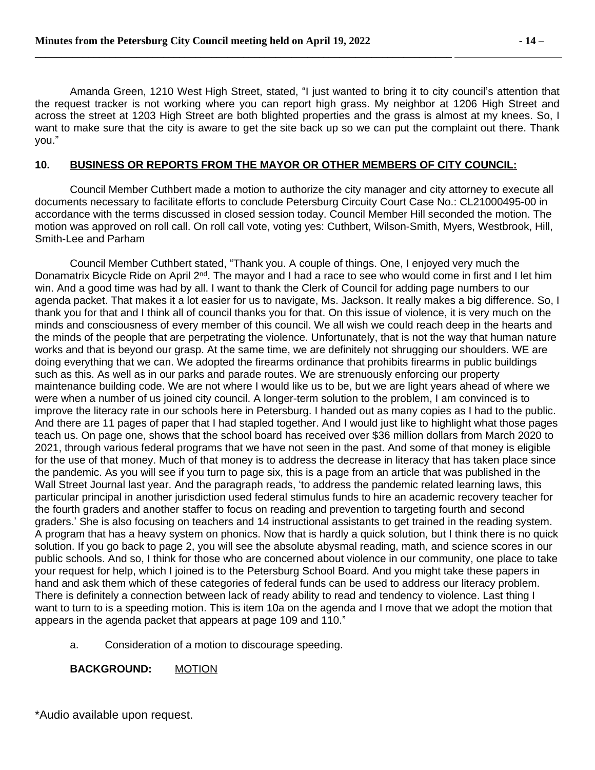Amanda Green, 1210 West High Street, stated, "I just wanted to bring it to city council's attention that the request tracker is not working where you can report high grass. My neighbor at 1206 High Street and across the street at 1203 High Street are both blighted properties and the grass is almost at my knees. So, I want to make sure that the city is aware to get the site back up so we can put the complaint out there. Thank you."

### **10. BUSINESS OR REPORTS FROM THE MAYOR OR OTHER MEMBERS OF CITY COUNCIL:**

Council Member Cuthbert made a motion to authorize the city manager and city attorney to execute all documents necessary to facilitate efforts to conclude Petersburg Circuity Court Case No.: CL21000495-00 in accordance with the terms discussed in closed session today. Council Member Hill seconded the motion. The motion was approved on roll call. On roll call vote, voting yes: Cuthbert, Wilson-Smith, Myers, Westbrook, Hill, Smith-Lee and Parham

Council Member Cuthbert stated, "Thank you. A couple of things. One, I enjoyed very much the Donamatrix Bicycle Ride on April 2<sup>nd</sup>. The mayor and I had a race to see who would come in first and I let him win. And a good time was had by all. I want to thank the Clerk of Council for adding page numbers to our agenda packet. That makes it a lot easier for us to navigate, Ms. Jackson. It really makes a big difference. So, I thank you for that and I think all of council thanks you for that. On this issue of violence, it is very much on the minds and consciousness of every member of this council. We all wish we could reach deep in the hearts and the minds of the people that are perpetrating the violence. Unfortunately, that is not the way that human nature works and that is beyond our grasp. At the same time, we are definitely not shrugging our shoulders. WE are doing everything that we can. We adopted the firearms ordinance that prohibits firearms in public buildings such as this. As well as in our parks and parade routes. We are strenuously enforcing our property maintenance building code. We are not where I would like us to be, but we are light years ahead of where we were when a number of us joined city council. A longer-term solution to the problem, I am convinced is to improve the literacy rate in our schools here in Petersburg. I handed out as many copies as I had to the public. And there are 11 pages of paper that I had stapled together. And I would just like to highlight what those pages teach us. On page one, shows that the school board has received over \$36 million dollars from March 2020 to 2021, through various federal programs that we have not seen in the past. And some of that money is eligible for the use of that money. Much of that money is to address the decrease in literacy that has taken place since the pandemic. As you will see if you turn to page six, this is a page from an article that was published in the Wall Street Journal last year. And the paragraph reads, 'to address the pandemic related learning laws, this particular principal in another jurisdiction used federal stimulus funds to hire an academic recovery teacher for the fourth graders and another staffer to focus on reading and prevention to targeting fourth and second graders.' She is also focusing on teachers and 14 instructional assistants to get trained in the reading system. A program that has a heavy system on phonics. Now that is hardly a quick solution, but I think there is no quick solution. If you go back to page 2, you will see the absolute abysmal reading, math, and science scores in our public schools. And so, I think for those who are concerned about violence in our community, one place to take your request for help, which I joined is to the Petersburg School Board. And you might take these papers in hand and ask them which of these categories of federal funds can be used to address our literacy problem. There is definitely a connection between lack of ready ability to read and tendency to violence. Last thing I want to turn to is a speeding motion. This is item 10a on the agenda and I move that we adopt the motion that appears in the agenda packet that appears at page 109 and 110."

a. Consideration of a motion to discourage speeding.

**BACKGROUND:** MOTION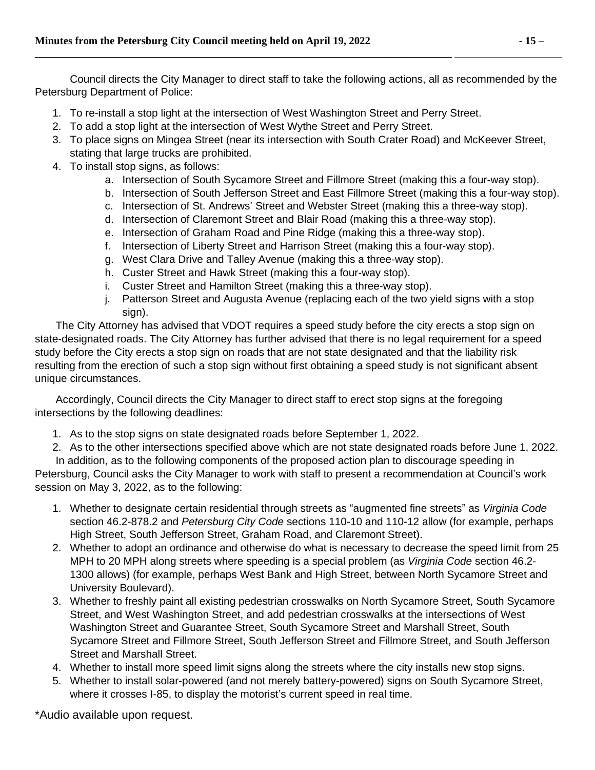Council directs the City Manager to direct staff to take the following actions, all as recommended by the Petersburg Department of Police:

- 1. To re-install a stop light at the intersection of West Washington Street and Perry Street.
- 2. To add a stop light at the intersection of West Wythe Street and Perry Street.

**\_\_\_\_\_\_\_\_\_\_\_\_\_\_\_\_\_\_\_\_\_\_\_\_\_\_\_\_\_\_\_\_\_\_\_\_\_\_\_\_\_\_\_\_\_\_\_\_\_\_\_\_\_\_\_\_\_\_\_\_\_\_\_\_\_\_\_\_\_\_\_\_\_\_\_\_\_\_** 

- 3. To place signs on Mingea Street (near its intersection with South Crater Road) and McKeever Street, stating that large trucks are prohibited.
- 4. To install stop signs, as follows:
	- a. Intersection of South Sycamore Street and Fillmore Street (making this a four-way stop).
	- b. Intersection of South Jefferson Street and East Fillmore Street (making this a four-way stop).
	- c. Intersection of St. Andrews' Street and Webster Street (making this a three-way stop).
	- d. Intersection of Claremont Street and Blair Road (making this a three-way stop).
	- e. Intersection of Graham Road and Pine Ridge (making this a three-way stop).
	- f. Intersection of Liberty Street and Harrison Street (making this a four-way stop).
	- g. West Clara Drive and Talley Avenue (making this a three-way stop).
	- h. Custer Street and Hawk Street (making this a four-way stop).
	- i. Custer Street and Hamilton Street (making this a three-way stop).
	- j. Patterson Street and Augusta Avenue (replacing each of the two yield signs with a stop sign).

 The City Attorney has advised that VDOT requires a speed study before the city erects a stop sign on state-designated roads. The City Attorney has further advised that there is no legal requirement for a speed study before the City erects a stop sign on roads that are not state designated and that the liability risk resulting from the erection of such a stop sign without first obtaining a speed study is not significant absent unique circumstances.

 Accordingly, Council directs the City Manager to direct staff to erect stop signs at the foregoing intersections by the following deadlines:

- 1. As to the stop signs on state designated roads before September 1, 2022.
- 2. As to the other intersections specified above which are not state designated roads before June 1, 2022.

 In addition, as to the following components of the proposed action plan to discourage speeding in Petersburg, Council asks the City Manager to work with staff to present a recommendation at Council's work session on May 3, 2022, as to the following:

- 1. Whether to designate certain residential through streets as "augmented fine streets" as *Virginia Code* section 46.2-878.2 and *Petersburg City Code* sections 110-10 and 110-12 allow (for example, perhaps High Street, South Jefferson Street, Graham Road, and Claremont Street).
- 2. Whether to adopt an ordinance and otherwise do what is necessary to decrease the speed limit from 25 MPH to 20 MPH along streets where speeding is a special problem (as *Virginia Code* section 46.2- 1300 allows) (for example, perhaps West Bank and High Street, between North Sycamore Street and University Boulevard).
- 3. Whether to freshly paint all existing pedestrian crosswalks on North Sycamore Street, South Sycamore Street, and West Washington Street, and add pedestrian crosswalks at the intersections of West Washington Street and Guarantee Street, South Sycamore Street and Marshall Street, South Sycamore Street and Fillmore Street, South Jefferson Street and Fillmore Street, and South Jefferson Street and Marshall Street.
- 4. Whether to install more speed limit signs along the streets where the city installs new stop signs.
- 5. Whether to install solar-powered (and not merely battery-powered) signs on South Sycamore Street, where it crosses I-85, to display the motorist's current speed in real time.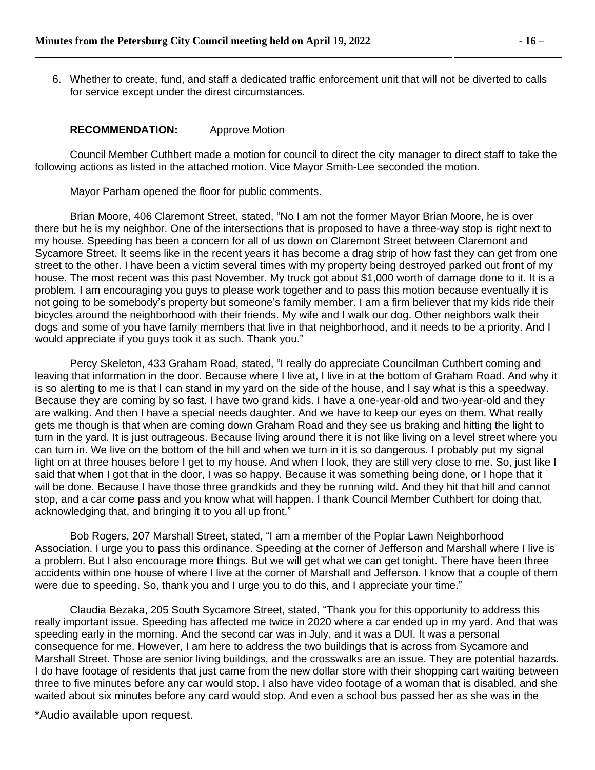6. Whether to create, fund, and staff a dedicated traffic enforcement unit that will not be diverted to calls for service except under the direst circumstances.

#### **RECOMMENDATION:** Approve Motion

Council Member Cuthbert made a motion for council to direct the city manager to direct staff to take the following actions as listed in the attached motion. Vice Mayor Smith-Lee seconded the motion.

Mayor Parham opened the floor for public comments.

Brian Moore, 406 Claremont Street, stated, "No I am not the former Mayor Brian Moore, he is over there but he is my neighbor. One of the intersections that is proposed to have a three-way stop is right next to my house. Speeding has been a concern for all of us down on Claremont Street between Claremont and Sycamore Street. It seems like in the recent years it has become a drag strip of how fast they can get from one street to the other. I have been a victim several times with my property being destroyed parked out front of my house. The most recent was this past November. My truck got about \$1,000 worth of damage done to it. It is a problem. I am encouraging you guys to please work together and to pass this motion because eventually it is not going to be somebody's property but someone's family member. I am a firm believer that my kids ride their bicycles around the neighborhood with their friends. My wife and I walk our dog. Other neighbors walk their dogs and some of you have family members that live in that neighborhood, and it needs to be a priority. And I would appreciate if you guys took it as such. Thank you."

Percy Skeleton, 433 Graham Road, stated, "I really do appreciate Councilman Cuthbert coming and leaving that information in the door. Because where I live at, I live in at the bottom of Graham Road. And why it is so alerting to me is that I can stand in my yard on the side of the house, and I say what is this a speedway. Because they are coming by so fast. I have two grand kids. I have a one-year-old and two-year-old and they are walking. And then I have a special needs daughter. And we have to keep our eyes on them. What really gets me though is that when are coming down Graham Road and they see us braking and hitting the light to turn in the yard. It is just outrageous. Because living around there it is not like living on a level street where you can turn in. We live on the bottom of the hill and when we turn in it is so dangerous. I probably put my signal light on at three houses before I get to my house. And when I look, they are still very close to me. So, just like I said that when I got that in the door, I was so happy. Because it was something being done, or I hope that it will be done. Because I have those three grandkids and they be running wild. And they hit that hill and cannot stop, and a car come pass and you know what will happen. I thank Council Member Cuthbert for doing that, acknowledging that, and bringing it to you all up front."

Bob Rogers, 207 Marshall Street, stated, "I am a member of the Poplar Lawn Neighborhood Association. I urge you to pass this ordinance. Speeding at the corner of Jefferson and Marshall where I live is a problem. But I also encourage more things. But we will get what we can get tonight. There have been three accidents within one house of where I live at the corner of Marshall and Jefferson. I know that a couple of them were due to speeding. So, thank you and I urge you to do this, and I appreciate your time."

Claudia Bezaka, 205 South Sycamore Street, stated, "Thank you for this opportunity to address this really important issue. Speeding has affected me twice in 2020 where a car ended up in my yard. And that was speeding early in the morning. And the second car was in July, and it was a DUI. It was a personal consequence for me. However, I am here to address the two buildings that is across from Sycamore and Marshall Street. Those are senior living buildings, and the crosswalks are an issue. They are potential hazards. I do have footage of residents that just came from the new dollar store with their shopping cart waiting between three to five minutes before any car would stop. I also have video footage of a woman that is disabled, and she waited about six minutes before any card would stop. And even a school bus passed her as she was in the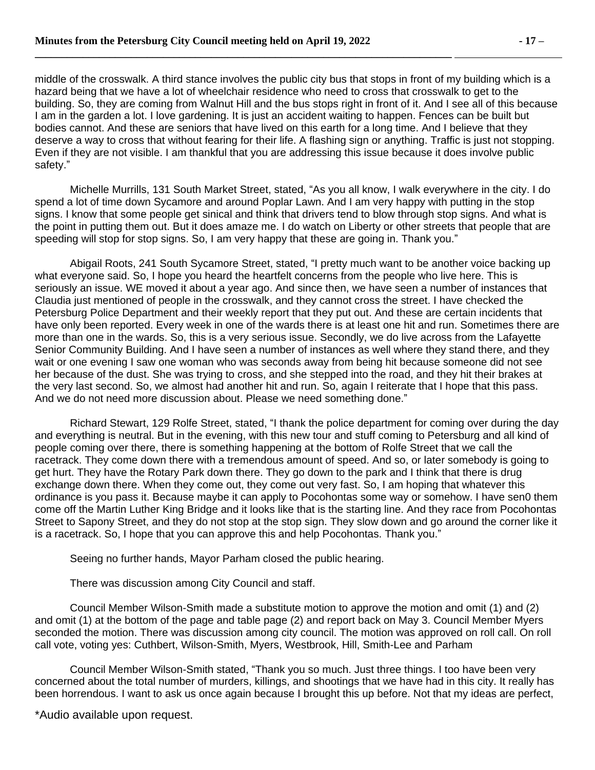middle of the crosswalk. A third stance involves the public city bus that stops in front of my building which is a hazard being that we have a lot of wheelchair residence who need to cross that crosswalk to get to the building. So, they are coming from Walnut Hill and the bus stops right in front of it. And I see all of this because I am in the garden a lot. I love gardening. It is just an accident waiting to happen. Fences can be built but bodies cannot. And these are seniors that have lived on this earth for a long time. And I believe that they deserve a way to cross that without fearing for their life. A flashing sign or anything. Traffic is just not stopping. Even if they are not visible. I am thankful that you are addressing this issue because it does involve public safety."

Michelle Murrills, 131 South Market Street, stated, "As you all know, I walk everywhere in the city. I do spend a lot of time down Sycamore and around Poplar Lawn. And I am very happy with putting in the stop signs. I know that some people get sinical and think that drivers tend to blow through stop signs. And what is the point in putting them out. But it does amaze me. I do watch on Liberty or other streets that people that are speeding will stop for stop signs. So, I am very happy that these are going in. Thank you."

Abigail Roots, 241 South Sycamore Street, stated, "I pretty much want to be another voice backing up what everyone said. So, I hope you heard the heartfelt concerns from the people who live here. This is seriously an issue. WE moved it about a year ago. And since then, we have seen a number of instances that Claudia just mentioned of people in the crosswalk, and they cannot cross the street. I have checked the Petersburg Police Department and their weekly report that they put out. And these are certain incidents that have only been reported. Every week in one of the wards there is at least one hit and run. Sometimes there are more than one in the wards. So, this is a very serious issue. Secondly, we do live across from the Lafayette Senior Community Building. And I have seen a number of instances as well where they stand there, and they wait or one evening I saw one woman who was seconds away from being hit because someone did not see her because of the dust. She was trying to cross, and she stepped into the road, and they hit their brakes at the very last second. So, we almost had another hit and run. So, again I reiterate that I hope that this pass. And we do not need more discussion about. Please we need something done."

Richard Stewart, 129 Rolfe Street, stated, "I thank the police department for coming over during the day and everything is neutral. But in the evening, with this new tour and stuff coming to Petersburg and all kind of people coming over there, there is something happening at the bottom of Rolfe Street that we call the racetrack. They come down there with a tremendous amount of speed. And so, or later somebody is going to get hurt. They have the Rotary Park down there. They go down to the park and I think that there is drug exchange down there. When they come out, they come out very fast. So, I am hoping that whatever this ordinance is you pass it. Because maybe it can apply to Pocohontas some way or somehow. I have sen0 them come off the Martin Luther King Bridge and it looks like that is the starting line. And they race from Pocohontas Street to Sapony Street, and they do not stop at the stop sign. They slow down and go around the corner like it is a racetrack. So, I hope that you can approve this and help Pocohontas. Thank you."

Seeing no further hands, Mayor Parham closed the public hearing.

There was discussion among City Council and staff.

Council Member Wilson-Smith made a substitute motion to approve the motion and omit (1) and (2) and omit (1) at the bottom of the page and table page (2) and report back on May 3. Council Member Myers seconded the motion. There was discussion among city council. The motion was approved on roll call. On roll call vote, voting yes: Cuthbert, Wilson-Smith, Myers, Westbrook, Hill, Smith-Lee and Parham

Council Member Wilson-Smith stated, "Thank you so much. Just three things. I too have been very concerned about the total number of murders, killings, and shootings that we have had in this city. It really has been horrendous. I want to ask us once again because I brought this up before. Not that my ideas are perfect,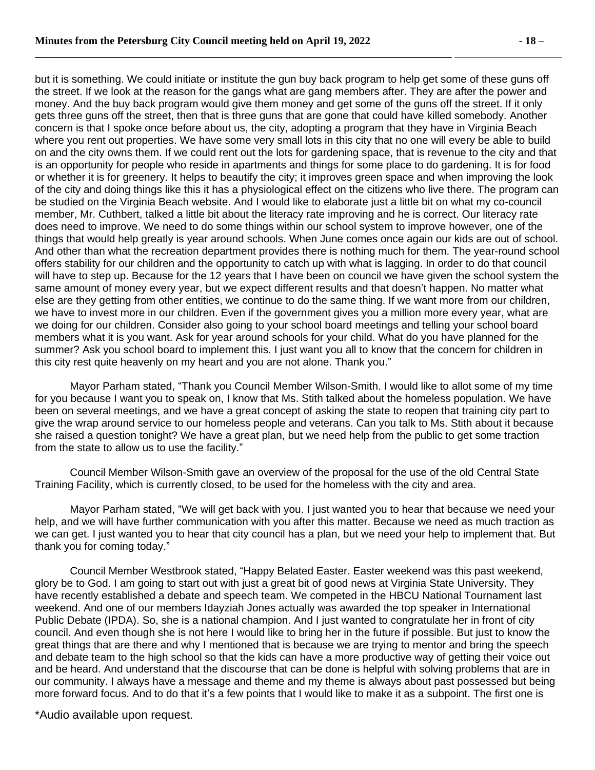but it is something. We could initiate or institute the gun buy back program to help get some of these guns off the street. If we look at the reason for the gangs what are gang members after. They are after the power and money. And the buy back program would give them money and get some of the guns off the street. If it only gets three guns off the street, then that is three guns that are gone that could have killed somebody. Another concern is that I spoke once before about us, the city, adopting a program that they have in Virginia Beach where you rent out properties. We have some very small lots in this city that no one will every be able to build on and the city owns them. If we could rent out the lots for gardening space, that is revenue to the city and that is an opportunity for people who reside in apartments and things for some place to do gardening. It is for food or whether it is for greenery. It helps to beautify the city; it improves green space and when improving the look of the city and doing things like this it has a physiological effect on the citizens who live there. The program can be studied on the Virginia Beach website. And I would like to elaborate just a little bit on what my co-council member, Mr. Cuthbert, talked a little bit about the literacy rate improving and he is correct. Our literacy rate does need to improve. We need to do some things within our school system to improve however, one of the things that would help greatly is year around schools. When June comes once again our kids are out of school. And other than what the recreation department provides there is nothing much for them. The year-round school offers stability for our children and the opportunity to catch up with what is lagging. In order to do that council will have to step up. Because for the 12 years that I have been on council we have given the school system the same amount of money every year, but we expect different results and that doesn't happen. No matter what else are they getting from other entities, we continue to do the same thing. If we want more from our children, we have to invest more in our children. Even if the government gives you a million more every year, what are we doing for our children. Consider also going to your school board meetings and telling your school board members what it is you want. Ask for year around schools for your child. What do you have planned for the summer? Ask you school board to implement this. I just want you all to know that the concern for children in this city rest quite heavenly on my heart and you are not alone. Thank you."

Mayor Parham stated, "Thank you Council Member Wilson-Smith. I would like to allot some of my time for you because I want you to speak on, I know that Ms. Stith talked about the homeless population. We have been on several meetings, and we have a great concept of asking the state to reopen that training city part to give the wrap around service to our homeless people and veterans. Can you talk to Ms. Stith about it because she raised a question tonight? We have a great plan, but we need help from the public to get some traction from the state to allow us to use the facility."

Council Member Wilson-Smith gave an overview of the proposal for the use of the old Central State Training Facility, which is currently closed, to be used for the homeless with the city and area.

Mayor Parham stated, "We will get back with you. I just wanted you to hear that because we need your help, and we will have further communication with you after this matter. Because we need as much traction as we can get. I just wanted you to hear that city council has a plan, but we need your help to implement that. But thank you for coming today."

Council Member Westbrook stated, "Happy Belated Easter. Easter weekend was this past weekend, glory be to God. I am going to start out with just a great bit of good news at Virginia State University. They have recently established a debate and speech team. We competed in the HBCU National Tournament last weekend. And one of our members Idayziah Jones actually was awarded the top speaker in International Public Debate (IPDA). So, she is a national champion. And I just wanted to congratulate her in front of city council. And even though she is not here I would like to bring her in the future if possible. But just to know the great things that are there and why I mentioned that is because we are trying to mentor and bring the speech and debate team to the high school so that the kids can have a more productive way of getting their voice out and be heard. And understand that the discourse that can be done is helpful with solving problems that are in our community. I always have a message and theme and my theme is always about past possessed but being more forward focus. And to do that it's a few points that I would like to make it as a subpoint. The first one is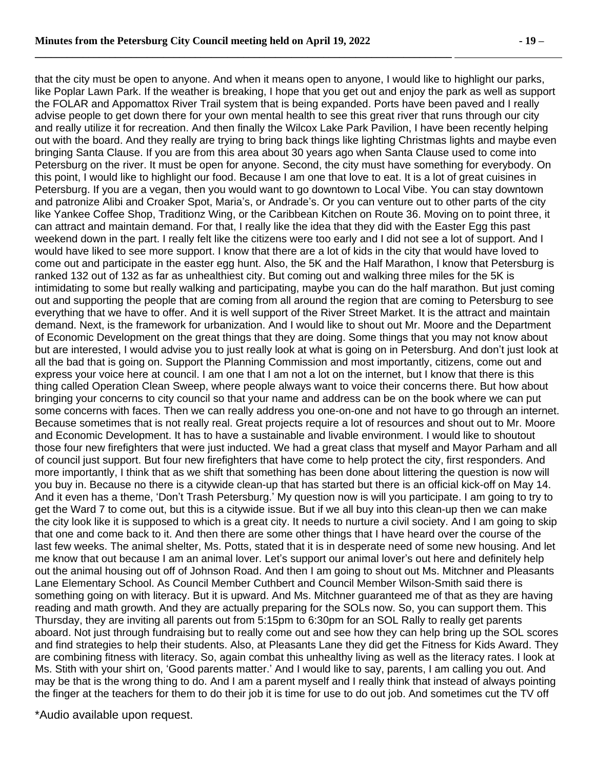that the city must be open to anyone. And when it means open to anyone, I would like to highlight our parks, like Poplar Lawn Park. If the weather is breaking, I hope that you get out and enjoy the park as well as support the FOLAR and Appomattox River Trail system that is being expanded. Ports have been paved and I really advise people to get down there for your own mental health to see this great river that runs through our city and really utilize it for recreation. And then finally the Wilcox Lake Park Pavilion, I have been recently helping out with the board. And they really are trying to bring back things like lighting Christmas lights and maybe even bringing Santa Clause. If you are from this area about 30 years ago when Santa Clause used to come into Petersburg on the river. It must be open for anyone. Second, the city must have something for everybody. On this point, I would like to highlight our food. Because I am one that love to eat. It is a lot of great cuisines in Petersburg. If you are a vegan, then you would want to go downtown to Local Vibe. You can stay downtown and patronize Alibi and Croaker Spot, Maria's, or Andrade's. Or you can venture out to other parts of the city like Yankee Coffee Shop, Traditionz Wing, or the Caribbean Kitchen on Route 36. Moving on to point three, it can attract and maintain demand. For that, I really like the idea that they did with the Easter Egg this past weekend down in the part. I really felt like the citizens were too early and I did not see a lot of support. And I would have liked to see more support. I know that there are a lot of kids in the city that would have loved to come out and participate in the easter egg hunt. Also, the 5K and the Half Marathon, I know that Petersburg is ranked 132 out of 132 as far as unhealthiest city. But coming out and walking three miles for the 5K is intimidating to some but really walking and participating, maybe you can do the half marathon. But just coming out and supporting the people that are coming from all around the region that are coming to Petersburg to see everything that we have to offer. And it is well support of the River Street Market. It is the attract and maintain demand. Next, is the framework for urbanization. And I would like to shout out Mr. Moore and the Department of Economic Development on the great things that they are doing. Some things that you may not know about but are interested, I would advise you to just really look at what is going on in Petersburg. And don't just look at all the bad that is going on. Support the Planning Commission and most importantly, citizens, come out and express your voice here at council. I am one that I am not a lot on the internet, but I know that there is this thing called Operation Clean Sweep, where people always want to voice their concerns there. But how about bringing your concerns to city council so that your name and address can be on the book where we can put some concerns with faces. Then we can really address you one-on-one and not have to go through an internet. Because sometimes that is not really real. Great projects require a lot of resources and shout out to Mr. Moore and Economic Development. It has to have a sustainable and livable environment. I would like to shoutout those four new firefighters that were just inducted. We had a great class that myself and Mayor Parham and all of council just support. But four new firefighters that have come to help protect the city, first responders. And more importantly, I think that as we shift that something has been done about littering the question is now will you buy in. Because no there is a citywide clean-up that has started but there is an official kick-off on May 14. And it even has a theme, 'Don't Trash Petersburg.' My question now is will you participate. I am going to try to get the Ward 7 to come out, but this is a citywide issue. But if we all buy into this clean-up then we can make the city look like it is supposed to which is a great city. It needs to nurture a civil society. And I am going to skip that one and come back to it. And then there are some other things that I have heard over the course of the last few weeks. The animal shelter, Ms. Potts, stated that it is in desperate need of some new housing. And let me know that out because I am an animal lover. Let's support our animal lover's out here and definitely help out the animal housing out off of Johnson Road. And then I am going to shout out Ms. Mitchner and Pleasants Lane Elementary School. As Council Member Cuthbert and Council Member Wilson-Smith said there is something going on with literacy. But it is upward. And Ms. Mitchner guaranteed me of that as they are having reading and math growth. And they are actually preparing for the SOLs now. So, you can support them. This Thursday, they are inviting all parents out from 5:15pm to 6:30pm for an SOL Rally to really get parents aboard. Not just through fundraising but to really come out and see how they can help bring up the SOL scores and find strategies to help their students. Also, at Pleasants Lane they did get the Fitness for Kids Award. They are combining fitness with literacy. So, again combat this unhealthy living as well as the literacy rates. I look at Ms. Stith with your shirt on, 'Good parents matter.' And I would like to say, parents, I am calling you out. And may be that is the wrong thing to do. And I am a parent myself and I really think that instead of always pointing the finger at the teachers for them to do their job it is time for use to do out job. And sometimes cut the TV off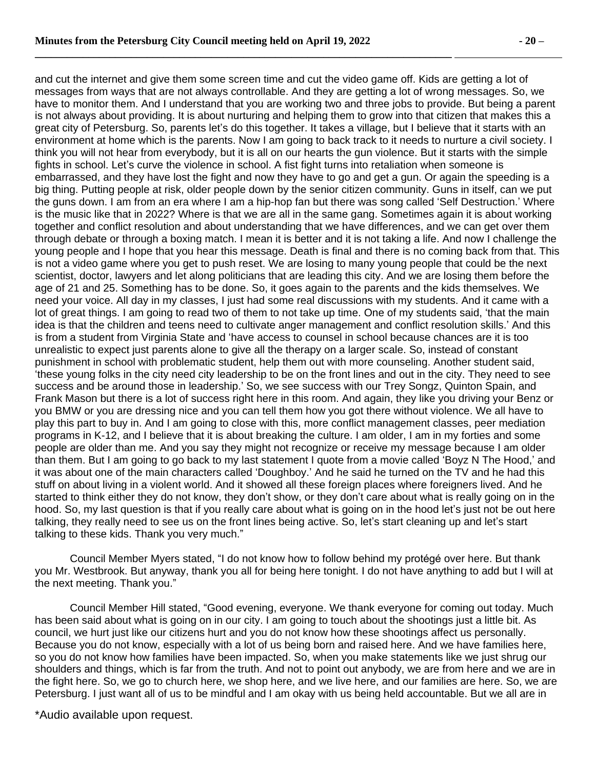and cut the internet and give them some screen time and cut the video game off. Kids are getting a lot of messages from ways that are not always controllable. And they are getting a lot of wrong messages. So, we have to monitor them. And I understand that you are working two and three jobs to provide. But being a parent is not always about providing. It is about nurturing and helping them to grow into that citizen that makes this a great city of Petersburg. So, parents let's do this together. It takes a village, but I believe that it starts with an environment at home which is the parents. Now I am going to back track to it needs to nurture a civil society. I think you will not hear from everybody, but it is all on our hearts the gun violence. But it starts with the simple fights in school. Let's curve the violence in school. A fist fight turns into retaliation when someone is embarrassed, and they have lost the fight and now they have to go and get a gun. Or again the speeding is a big thing. Putting people at risk, older people down by the senior citizen community. Guns in itself, can we put the guns down. I am from an era where I am a hip-hop fan but there was song called 'Self Destruction.' Where is the music like that in 2022? Where is that we are all in the same gang. Sometimes again it is about working together and conflict resolution and about understanding that we have differences, and we can get over them through debate or through a boxing match. I mean it is better and it is not taking a life. And now I challenge the young people and I hope that you hear this message. Death is final and there is no coming back from that. This is not a video game where you get to push reset. We are losing to many young people that could be the next scientist, doctor, lawyers and let along politicians that are leading this city. And we are losing them before the age of 21 and 25. Something has to be done. So, it goes again to the parents and the kids themselves. We need your voice. All day in my classes, I just had some real discussions with my students. And it came with a lot of great things. I am going to read two of them to not take up time. One of my students said, 'that the main idea is that the children and teens need to cultivate anger management and conflict resolution skills.' And this is from a student from Virginia State and 'have access to counsel in school because chances are it is too unrealistic to expect just parents alone to give all the therapy on a larger scale. So, instead of constant punishment in school with problematic student, help them out with more counseling. Another student said, 'these young folks in the city need city leadership to be on the front lines and out in the city. They need to see success and be around those in leadership.' So, we see success with our Trey Songz, Quinton Spain, and Frank Mason but there is a lot of success right here in this room. And again, they like you driving your Benz or you BMW or you are dressing nice and you can tell them how you got there without violence. We all have to play this part to buy in. And I am going to close with this, more conflict management classes, peer mediation programs in K-12, and I believe that it is about breaking the culture. I am older, I am in my forties and some people are older than me. And you say they might not recognize or receive my message because I am older than them. But I am going to go back to my last statement I quote from a movie called 'Boyz N The Hood,' and it was about one of the main characters called 'Doughboy.' And he said he turned on the TV and he had this stuff on about living in a violent world. And it showed all these foreign places where foreigners lived. And he started to think either they do not know, they don't show, or they don't care about what is really going on in the hood. So, my last question is that if you really care about what is going on in the hood let's just not be out here talking, they really need to see us on the front lines being active. So, let's start cleaning up and let's start talking to these kids. Thank you very much."

Council Member Myers stated, "I do not know how to follow behind my protégé over here. But thank you Mr. Westbrook. But anyway, thank you all for being here tonight. I do not have anything to add but I will at the next meeting. Thank you."

Council Member Hill stated, "Good evening, everyone. We thank everyone for coming out today. Much has been said about what is going on in our city. I am going to touch about the shootings just a little bit. As council, we hurt just like our citizens hurt and you do not know how these shootings affect us personally. Because you do not know, especially with a lot of us being born and raised here. And we have families here, so you do not know how families have been impacted. So, when you make statements like we just shrug our shoulders and things, which is far from the truth. And not to point out anybody, we are from here and we are in the fight here. So, we go to church here, we shop here, and we live here, and our families are here. So, we are Petersburg. I just want all of us to be mindful and I am okay with us being held accountable. But we all are in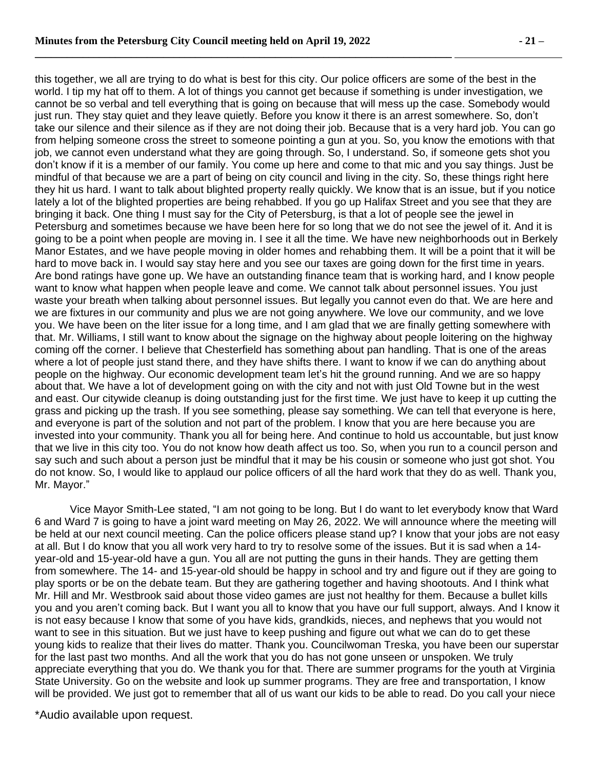this together, we all are trying to do what is best for this city. Our police officers are some of the best in the world. I tip my hat off to them. A lot of things you cannot get because if something is under investigation, we cannot be so verbal and tell everything that is going on because that will mess up the case. Somebody would just run. They stay quiet and they leave quietly. Before you know it there is an arrest somewhere. So, don't take our silence and their silence as if they are not doing their job. Because that is a very hard job. You can go from helping someone cross the street to someone pointing a gun at you. So, you know the emotions with that job, we cannot even understand what they are going through. So, I understand. So, if someone gets shot you don't know if it is a member of our family. You come up here and come to that mic and you say things. Just be mindful of that because we are a part of being on city council and living in the city. So, these things right here they hit us hard. I want to talk about blighted property really quickly. We know that is an issue, but if you notice lately a lot of the blighted properties are being rehabbed. If you go up Halifax Street and you see that they are bringing it back. One thing I must say for the City of Petersburg, is that a lot of people see the jewel in Petersburg and sometimes because we have been here for so long that we do not see the jewel of it. And it is going to be a point when people are moving in. I see it all the time. We have new neighborhoods out in Berkely Manor Estates, and we have people moving in older homes and rehabbing them. It will be a point that it will be hard to move back in. I would say stay here and you see our taxes are going down for the first time in years. Are bond ratings have gone up. We have an outstanding finance team that is working hard, and I know people want to know what happen when people leave and come. We cannot talk about personnel issues. You just waste your breath when talking about personnel issues. But legally you cannot even do that. We are here and we are fixtures in our community and plus we are not going anywhere. We love our community, and we love you. We have been on the liter issue for a long time, and I am glad that we are finally getting somewhere with that. Mr. Williams, I still want to know about the signage on the highway about people loitering on the highway coming off the corner. I believe that Chesterfield has something about pan handling. That is one of the areas where a lot of people just stand there, and they have shifts there. I want to know if we can do anything about people on the highway. Our economic development team let's hit the ground running. And we are so happy about that. We have a lot of development going on with the city and not with just Old Towne but in the west and east. Our citywide cleanup is doing outstanding just for the first time. We just have to keep it up cutting the grass and picking up the trash. If you see something, please say something. We can tell that everyone is here, and everyone is part of the solution and not part of the problem. I know that you are here because you are invested into your community. Thank you all for being here. And continue to hold us accountable, but just know that we live in this city too. You do not know how death affect us too. So, when you run to a council person and say such and such about a person just be mindful that it may be his cousin or someone who just got shot. You do not know. So, I would like to applaud our police officers of all the hard work that they do as well. Thank you, Mr. Mayor."

Vice Mayor Smith-Lee stated, "I am not going to be long. But I do want to let everybody know that Ward 6 and Ward 7 is going to have a joint ward meeting on May 26, 2022. We will announce where the meeting will be held at our next council meeting. Can the police officers please stand up? I know that your jobs are not easy at all. But I do know that you all work very hard to try to resolve some of the issues. But it is sad when a 14 year-old and 15-year-old have a gun. You all are not putting the guns in their hands. They are getting them from somewhere. The 14- and 15-year-old should be happy in school and try and figure out if they are going to play sports or be on the debate team. But they are gathering together and having shootouts. And I think what Mr. Hill and Mr. Westbrook said about those video games are just not healthy for them. Because a bullet kills you and you aren't coming back. But I want you all to know that you have our full support, always. And I know it is not easy because I know that some of you have kids, grandkids, nieces, and nephews that you would not want to see in this situation. But we just have to keep pushing and figure out what we can do to get these young kids to realize that their lives do matter. Thank you. Councilwoman Treska, you have been our superstar for the last past two months. And all the work that you do has not gone unseen or unspoken. We truly appreciate everything that you do. We thank you for that. There are summer programs for the youth at Virginia State University. Go on the website and look up summer programs. They are free and transportation, I know will be provided. We just got to remember that all of us want our kids to be able to read. Do you call your niece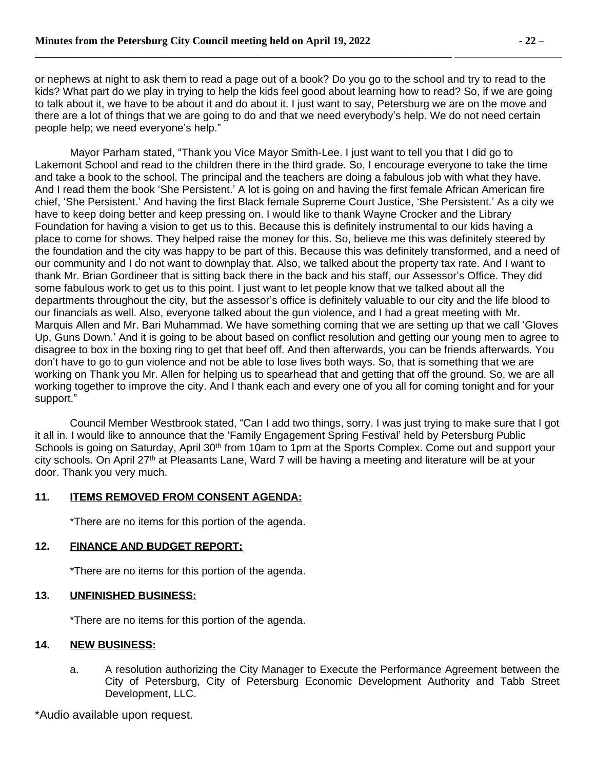or nephews at night to ask them to read a page out of a book? Do you go to the school and try to read to the kids? What part do we play in trying to help the kids feel good about learning how to read? So, if we are going to talk about it, we have to be about it and do about it. I just want to say, Petersburg we are on the move and there are a lot of things that we are going to do and that we need everybody's help. We do not need certain people help; we need everyone's help."

Mayor Parham stated, "Thank you Vice Mayor Smith-Lee. I just want to tell you that I did go to Lakemont School and read to the children there in the third grade. So, I encourage everyone to take the time and take a book to the school. The principal and the teachers are doing a fabulous job with what they have. And I read them the book 'She Persistent.' A lot is going on and having the first female African American fire chief, 'She Persistent.' And having the first Black female Supreme Court Justice, 'She Persistent.' As a city we have to keep doing better and keep pressing on. I would like to thank Wayne Crocker and the Library Foundation for having a vision to get us to this. Because this is definitely instrumental to our kids having a place to come for shows. They helped raise the money for this. So, believe me this was definitely steered by the foundation and the city was happy to be part of this. Because this was definitely transformed, and a need of our community and I do not want to downplay that. Also, we talked about the property tax rate. And I want to thank Mr. Brian Gordineer that is sitting back there in the back and his staff, our Assessor's Office. They did some fabulous work to get us to this point. I just want to let people know that we talked about all the departments throughout the city, but the assessor's office is definitely valuable to our city and the life blood to our financials as well. Also, everyone talked about the gun violence, and I had a great meeting with Mr. Marquis Allen and Mr. Bari Muhammad. We have something coming that we are setting up that we call 'Gloves Up, Guns Down.' And it is going to be about based on conflict resolution and getting our young men to agree to disagree to box in the boxing ring to get that beef off. And then afterwards, you can be friends afterwards. You don't have to go to gun violence and not be able to lose lives both ways. So, that is something that we are working on Thank you Mr. Allen for helping us to spearhead that and getting that off the ground. So, we are all working together to improve the city. And I thank each and every one of you all for coming tonight and for your support."

Council Member Westbrook stated, "Can I add two things, sorry. I was just trying to make sure that I got it all in. I would like to announce that the 'Family Engagement Spring Festival' held by Petersburg Public Schools is going on Saturday, April 30<sup>th</sup> from 10am to 1pm at the Sports Complex. Come out and support your city schools. On April 27th at Pleasants Lane, Ward 7 will be having a meeting and literature will be at your door. Thank you very much.

# **11. ITEMS REMOVED FROM CONSENT AGENDA:**

\*There are no items for this portion of the agenda.

# **12. FINANCE AND BUDGET REPORT:**

\*There are no items for this portion of the agenda.

#### **13. UNFINISHED BUSINESS:**

\*There are no items for this portion of the agenda.

#### **14. NEW BUSINESS:**

a. A resolution authorizing the City Manager to Execute the Performance Agreement between the City of Petersburg, City of Petersburg Economic Development Authority and Tabb Street Development, LLC.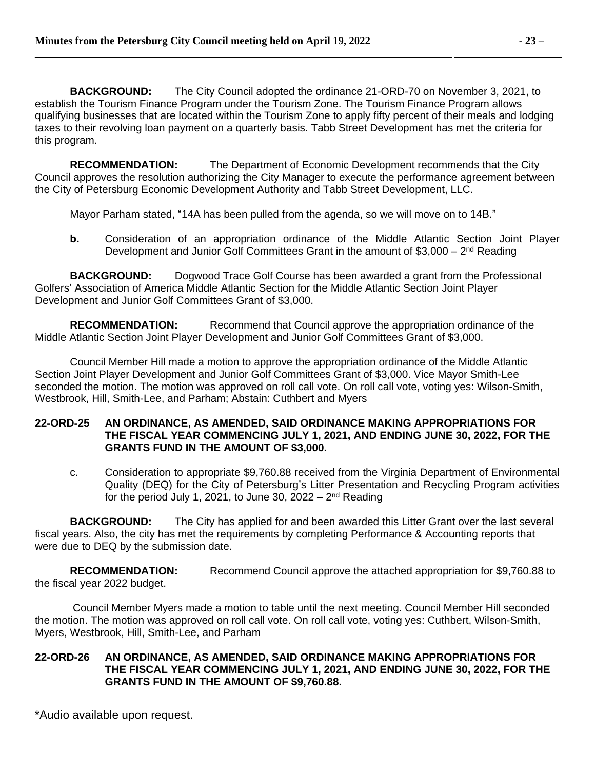**BACKGROUND:** The City Council adopted the ordinance 21-ORD-70 on November 3, 2021, to establish the Tourism Finance Program under the Tourism Zone. The Tourism Finance Program allows qualifying businesses that are located within the Tourism Zone to apply fifty percent of their meals and lodging taxes to their revolving loan payment on a quarterly basis. Tabb Street Development has met the criteria for this program.

**RECOMMENDATION:** The Department of Economic Development recommends that the City Council approves the resolution authorizing the City Manager to execute the performance agreement between the City of Petersburg Economic Development Authority and Tabb Street Development, LLC.

Mayor Parham stated, "14A has been pulled from the agenda, so we will move on to 14B."

**b.** Consideration of an appropriation ordinance of the Middle Atlantic Section Joint Player Development and Junior Golf Committees Grant in the amount of \$3,000 - 2<sup>nd</sup> Reading

**BACKGROUND:** Dogwood Trace Golf Course has been awarded a grant from the Professional Golfers' Association of America Middle Atlantic Section for the Middle Atlantic Section Joint Player Development and Junior Golf Committees Grant of \$3,000.

**RECOMMENDATION:** Recommend that Council approve the appropriation ordinance of the Middle Atlantic Section Joint Player Development and Junior Golf Committees Grant of \$3,000.

Council Member Hill made a motion to approve the appropriation ordinance of the Middle Atlantic Section Joint Player Development and Junior Golf Committees Grant of \$3,000. Vice Mayor Smith-Lee seconded the motion. The motion was approved on roll call vote. On roll call vote, voting yes: Wilson-Smith, Westbrook, Hill, Smith-Lee, and Parham; Abstain: Cuthbert and Myers

#### **22-ORD-25 AN ORDINANCE, AS AMENDED, SAID ORDINANCE MAKING APPROPRIATIONS FOR THE FISCAL YEAR COMMENCING JULY 1, 2021, AND ENDING JUNE 30, 2022, FOR THE GRANTS FUND IN THE AMOUNT OF \$3,000.**

c. Consideration to appropriate \$9,760.88 received from the Virginia Department of Environmental Quality (DEQ) for the City of Petersburg's Litter Presentation and Recycling Program activities for the period July 1, 2021, to June 30, 2022 – 2<sup>nd</sup> Reading

**BACKGROUND:** The City has applied for and been awarded this Litter Grant over the last several fiscal years. Also, the city has met the requirements by completing Performance & Accounting reports that were due to DEQ by the submission date.

**RECOMMENDATION:** Recommend Council approve the attached appropriation for \$9,760.88 to the fiscal year 2022 budget.

Council Member Myers made a motion to table until the next meeting. Council Member Hill seconded the motion. The motion was approved on roll call vote. On roll call vote, voting yes: Cuthbert, Wilson-Smith, Myers, Westbrook, Hill, Smith-Lee, and Parham

# **22-ORD-26 AN ORDINANCE, AS AMENDED, SAID ORDINANCE MAKING APPROPRIATIONS FOR THE FISCAL YEAR COMMENCING JULY 1, 2021, AND ENDING JUNE 30, 2022, FOR THE GRANTS FUND IN THE AMOUNT OF \$9,760.88.**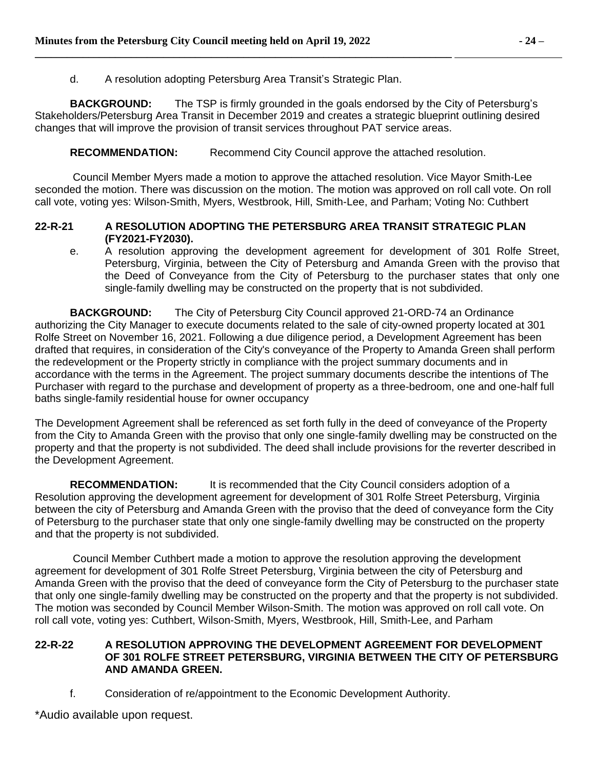d. A resolution adopting Petersburg Area Transit's Strategic Plan.

**\_\_\_\_\_\_\_\_\_\_\_\_\_\_\_\_\_\_\_\_\_\_\_\_\_\_\_\_\_\_\_\_\_\_\_\_\_\_\_\_\_\_\_\_\_\_\_\_\_\_\_\_\_\_\_\_\_\_\_\_\_\_\_\_\_\_\_\_\_\_\_\_\_\_\_\_\_\_** 

**BACKGROUND:** The TSP is firmly grounded in the goals endorsed by the City of Petersburg's Stakeholders/Petersburg Area Transit in December 2019 and creates a strategic blueprint outlining desired changes that will improve the provision of transit services throughout PAT service areas.

# **RECOMMENDATION:** Recommend City Council approve the attached resolution.

Council Member Myers made a motion to approve the attached resolution. Vice Mayor Smith-Lee seconded the motion. There was discussion on the motion. The motion was approved on roll call vote. On roll call vote, voting yes: Wilson-Smith, Myers, Westbrook, Hill, Smith-Lee, and Parham; Voting No: Cuthbert

# **22-R-21 A RESOLUTION ADOPTING THE PETERSBURG AREA TRANSIT STRATEGIC PLAN (FY2021-FY2030).**

e. A resolution approving the development agreement for development of 301 Rolfe Street, Petersburg, Virginia, between the City of Petersburg and Amanda Green with the proviso that the Deed of Conveyance from the City of Petersburg to the purchaser states that only one single-family dwelling may be constructed on the property that is not subdivided.

**BACKGROUND:** The City of Petersburg City Council approved 21-ORD-74 an Ordinance authorizing the City Manager to execute documents related to the sale of city-owned property located at 301 Rolfe Street on November 16, 2021. Following a due diligence period, a Development Agreement has been drafted that requires, in consideration of the City's conveyance of the Property to Amanda Green shall perform the redevelopment or the Property strictly in compliance with the project summary documents and in accordance with the terms in the Agreement. The project summary documents describe the intentions of The Purchaser with regard to the purchase and development of property as a three-bedroom, one and one-half full baths single-family residential house for owner occupancy

The Development Agreement shall be referenced as set forth fully in the deed of conveyance of the Property from the City to Amanda Green with the proviso that only one single-family dwelling may be constructed on the property and that the property is not subdivided. The deed shall include provisions for the reverter described in the Development Agreement.

**RECOMMENDATION:** It is recommended that the City Council considers adoption of a Resolution approving the development agreement for development of 301 Rolfe Street Petersburg, Virginia between the city of Petersburg and Amanda Green with the proviso that the deed of conveyance form the City of Petersburg to the purchaser state that only one single-family dwelling may be constructed on the property and that the property is not subdivided.

Council Member Cuthbert made a motion to approve the resolution approving the development agreement for development of 301 Rolfe Street Petersburg, Virginia between the city of Petersburg and Amanda Green with the proviso that the deed of conveyance form the City of Petersburg to the purchaser state that only one single-family dwelling may be constructed on the property and that the property is not subdivided. The motion was seconded by Council Member Wilson-Smith. The motion was approved on roll call vote. On roll call vote, voting yes: Cuthbert, Wilson-Smith, Myers, Westbrook, Hill, Smith-Lee, and Parham

### **22-R-22 A RESOLUTION APPROVING THE DEVELOPMENT AGREEMENT FOR DEVELOPMENT OF 301 ROLFE STREET PETERSBURG, VIRGINIA BETWEEN THE CITY OF PETERSBURG AND AMANDA GREEN.**

f. Consideration of re/appointment to the Economic Development Authority.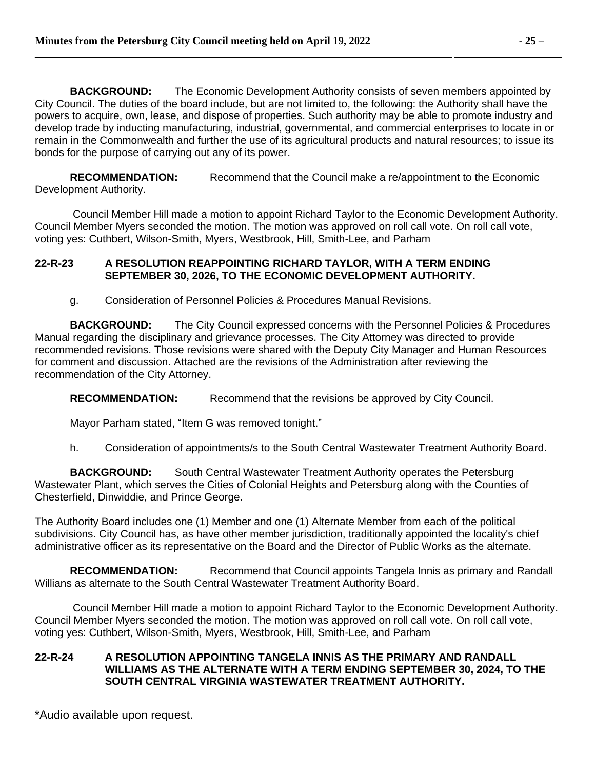**BACKGROUND:** The Economic Development Authority consists of seven members appointed by City Council. The duties of the board include, but are not limited to, the following: the Authority shall have the powers to acquire, own, lease, and dispose of properties. Such authority may be able to promote industry and develop trade by inducting manufacturing, industrial, governmental, and commercial enterprises to locate in or remain in the Commonwealth and further the use of its agricultural products and natural resources; to issue its bonds for the purpose of carrying out any of its power.

**RECOMMENDATION:** Recommend that the Council make a re/appointment to the Economic Development Authority.

Council Member Hill made a motion to appoint Richard Taylor to the Economic Development Authority. Council Member Myers seconded the motion. The motion was approved on roll call vote. On roll call vote, voting yes: Cuthbert, Wilson-Smith, Myers, Westbrook, Hill, Smith-Lee, and Parham

# **22-R-23 A RESOLUTION REAPPOINTING RICHARD TAYLOR, WITH A TERM ENDING SEPTEMBER 30, 2026, TO THE ECONOMIC DEVELOPMENT AUTHORITY.**

g. Consideration of Personnel Policies & Procedures Manual Revisions.

**BACKGROUND:** The City Council expressed concerns with the Personnel Policies & Procedures Manual regarding the disciplinary and grievance processes. The City Attorney was directed to provide recommended revisions. Those revisions were shared with the Deputy City Manager and Human Resources for comment and discussion. Attached are the revisions of the Administration after reviewing the recommendation of the City Attorney.

**RECOMMENDATION:** Recommend that the revisions be approved by City Council.

Mayor Parham stated, "Item G was removed tonight."

h. Consideration of appointments/s to the South Central Wastewater Treatment Authority Board.

**BACKGROUND:** South Central Wastewater Treatment Authority operates the Petersburg Wastewater Plant, which serves the Cities of Colonial Heights and Petersburg along with the Counties of Chesterfield, Dinwiddie, and Prince George.

The Authority Board includes one (1) Member and one (1) Alternate Member from each of the political subdivisions. City Council has, as have other member jurisdiction, traditionally appointed the locality's chief administrative officer as its representative on the Board and the Director of Public Works as the alternate.

**RECOMMENDATION:** Recommend that Council appoints Tangela Innis as primary and Randall Willians as alternate to the South Central Wastewater Treatment Authority Board.

Council Member Hill made a motion to appoint Richard Taylor to the Economic Development Authority. Council Member Myers seconded the motion. The motion was approved on roll call vote. On roll call vote, voting yes: Cuthbert, Wilson-Smith, Myers, Westbrook, Hill, Smith-Lee, and Parham

# **22-R-24 A RESOLUTION APPOINTING TANGELA INNIS AS THE PRIMARY AND RANDALL WILLIAMS AS THE ALTERNATE WITH A TERM ENDING SEPTEMBER 30, 2024, TO THE SOUTH CENTRAL VIRGINIA WASTEWATER TREATMENT AUTHORITY.**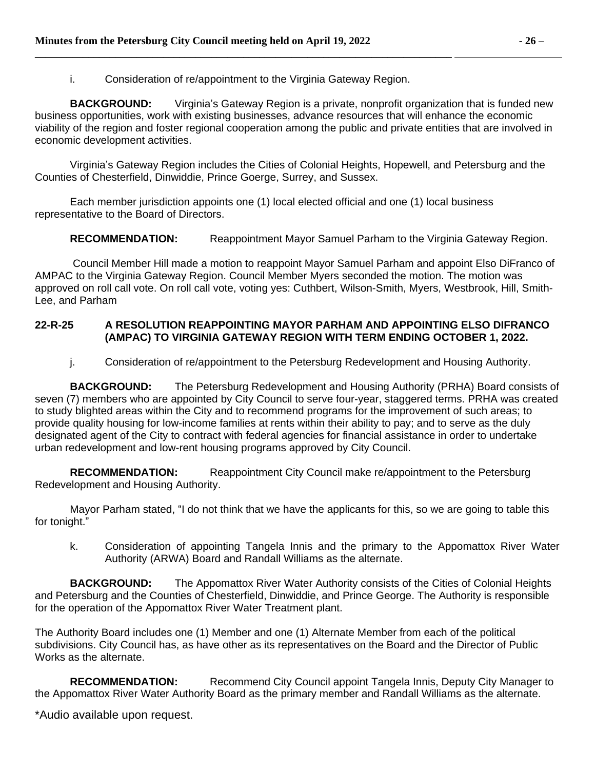i. Consideration of re/appointment to the Virginia Gateway Region.

**\_\_\_\_\_\_\_\_\_\_\_\_\_\_\_\_\_\_\_\_\_\_\_\_\_\_\_\_\_\_\_\_\_\_\_\_\_\_\_\_\_\_\_\_\_\_\_\_\_\_\_\_\_\_\_\_\_\_\_\_\_\_\_\_\_\_\_\_\_\_\_\_\_\_\_\_\_\_** 

**BACKGROUND:** Virginia's Gateway Region is a private, nonprofit organization that is funded new business opportunities, work with existing businesses, advance resources that will enhance the economic viability of the region and foster regional cooperation among the public and private entities that are involved in economic development activities.

Virginia's Gateway Region includes the Cities of Colonial Heights, Hopewell, and Petersburg and the Counties of Chesterfield, Dinwiddie, Prince Goerge, Surrey, and Sussex.

Each member jurisdiction appoints one (1) local elected official and one (1) local business representative to the Board of Directors.

**RECOMMENDATION:** Reappointment Mayor Samuel Parham to the Virginia Gateway Region.

Council Member Hill made a motion to reappoint Mayor Samuel Parham and appoint Elso DiFranco of AMPAC to the Virginia Gateway Region. Council Member Myers seconded the motion. The motion was approved on roll call vote. On roll call vote, voting yes: Cuthbert, Wilson-Smith, Myers, Westbrook, Hill, Smith-Lee, and Parham

# **22-R-25 A RESOLUTION REAPPOINTING MAYOR PARHAM AND APPOINTING ELSO DIFRANCO (AMPAC) TO VIRGINIA GATEWAY REGION WITH TERM ENDING OCTOBER 1, 2022.**

j. Consideration of re/appointment to the Petersburg Redevelopment and Housing Authority.

**BACKGROUND:** The Petersburg Redevelopment and Housing Authority (PRHA) Board consists of seven (7) members who are appointed by City Council to serve four-year, staggered terms. PRHA was created to study blighted areas within the City and to recommend programs for the improvement of such areas; to provide quality housing for low-income families at rents within their ability to pay; and to serve as the duly designated agent of the City to contract with federal agencies for financial assistance in order to undertake urban redevelopment and low-rent housing programs approved by City Council.

**RECOMMENDATION:** Reappointment City Council make re/appointment to the Petersburg Redevelopment and Housing Authority.

Mayor Parham stated, "I do not think that we have the applicants for this, so we are going to table this for tonight."

k. Consideration of appointing Tangela Innis and the primary to the Appomattox River Water Authority (ARWA) Board and Randall Williams as the alternate.

**BACKGROUND:** The Appomattox River Water Authority consists of the Cities of Colonial Heights and Petersburg and the Counties of Chesterfield, Dinwiddie, and Prince George. The Authority is responsible for the operation of the Appomattox River Water Treatment plant.

The Authority Board includes one (1) Member and one (1) Alternate Member from each of the political subdivisions. City Council has, as have other as its representatives on the Board and the Director of Public Works as the alternate.

**RECOMMENDATION:** Recommend City Council appoint Tangela Innis, Deputy City Manager to the Appomattox River Water Authority Board as the primary member and Randall Williams as the alternate.